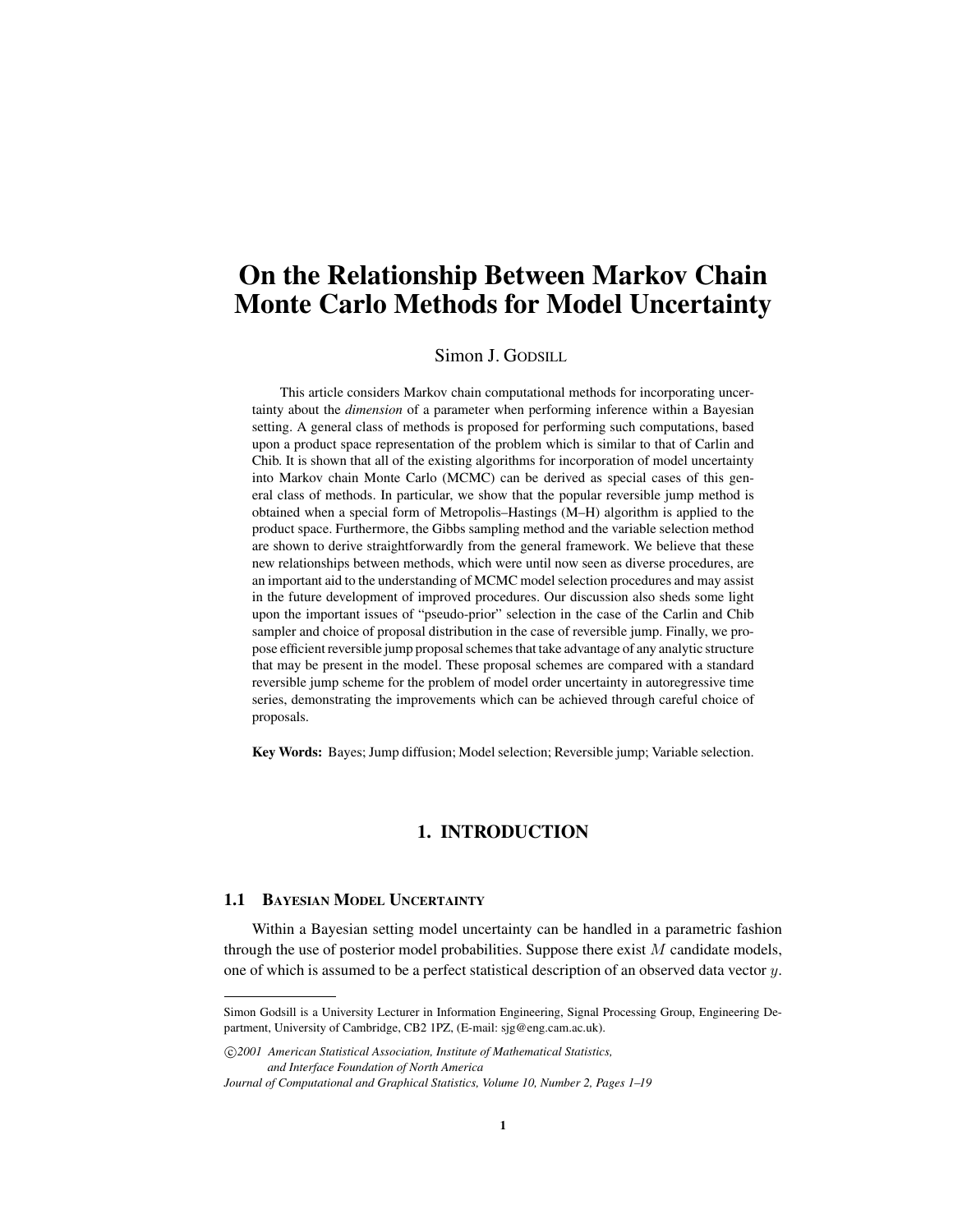# **On the Relationship Between Markov Chain Monte Carlo Methods for Model Uncertainty**

Simon J. GODSILL

This article considers Markov chain computational methods for incorporating uncertainty about the *dimension* of a parameter when performing inference within a Bayesian setting. A general class of methods is proposed for performing such computations, based upon a product space representation of the problem which is similar to that of Carlin and Chib. It is shown that all of the existing algorithms for incorporation of model uncertainty into Markov chain Monte Carlo (MCMC) can be derived as special cases of this general class of methods. In particular, we show that the popular reversible jump method is obtained when a special form of Metropolis–Hastings (M–H) algorithm is applied to the product space. Furthermore, the Gibbs sampling method and the variable selection method are shown to derive straightforwardly from the general framework. We believe that these new relationships between methods, which were until now seen as diverse procedures, are an important aid to the understanding of MCMC model selection procedures and may assist in the future development of improved procedures. Our discussion also sheds some light upon the important issues of "pseudo-prior" selection in the case of the Carlin and Chib sampler and choice of proposal distribution in the case of reversible jump. Finally, we propose efficient reversible jump proposal schemes that take advantage of any analytic structure that may be present in the model. These proposal schemes are compared with a standard reversible jump scheme for the problem of model order uncertainty in autoregressive time series, demonstrating the improvements which can be achieved through careful choice of proposals.

**Key Words:** Bayes; Jump diffusion; Model selection; Reversible jump; Variable selection.

# **1. INTRODUCTION**

## **1.1 BAYESIAN MODEL UNCERTAINTY**

Within a Bayesian setting model uncertainty can be handled in a parametric fashion through the use of posterior model probabilities. Suppose there exist  $M$  candidate models, one of which is assumed to be a perfect statistical description of an observed data vector y.

Simon Godsill is a University Lecturer in Information Engineering, Signal Processing Group, Engineering Department, University of Cambridge, CB2 1PZ, (E-mail: sjg@eng.cam.ac.uk).

c *2001 American Statistical Association, Institute of Mathematical Statistics, and Interface Foundation of North America*

*Journal of Computational and Graphical Statistics, Volume 10, Number 2, Pages 1–19*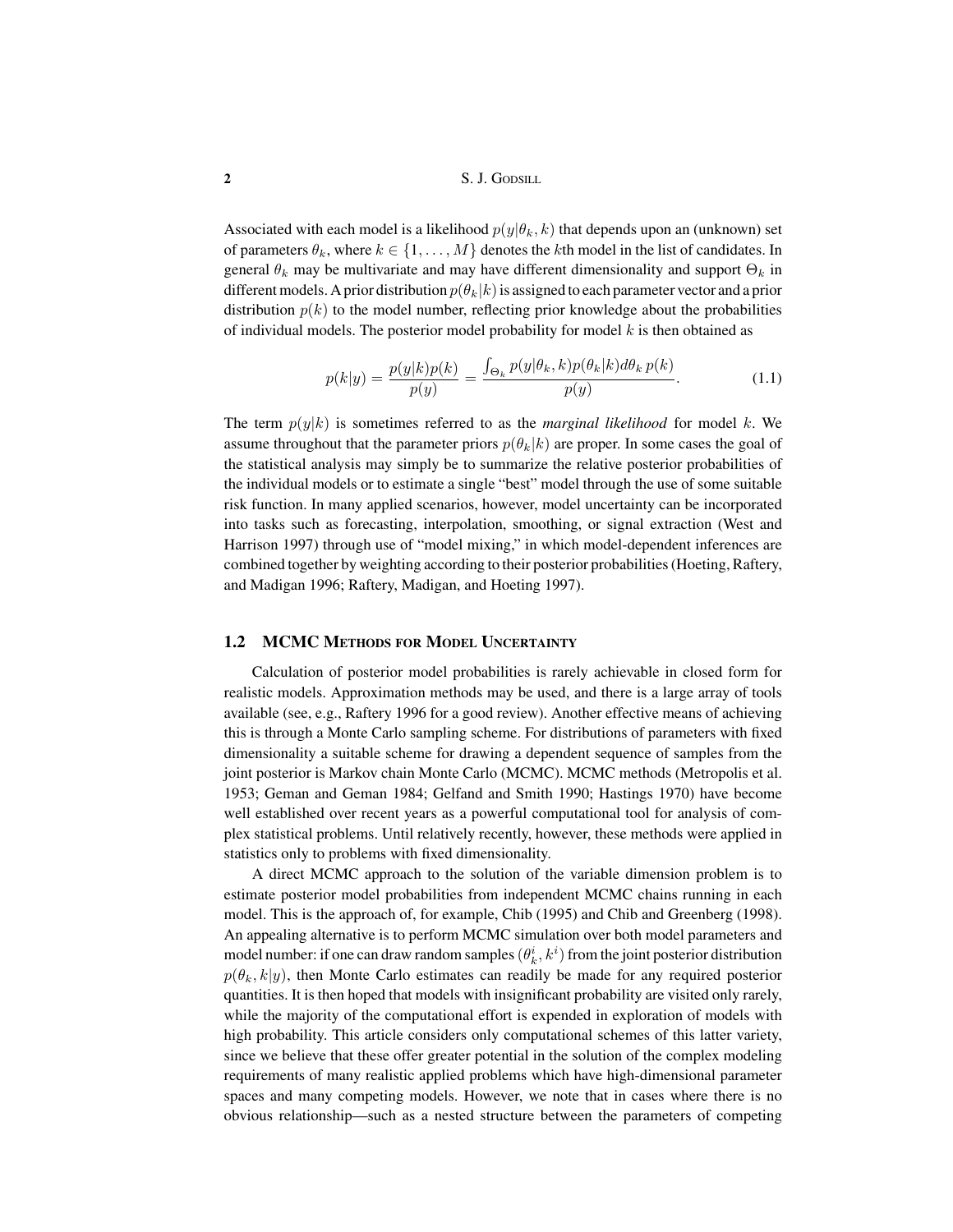Associated with each model is a likelihood  $p(y|\theta_k, k)$  that depends upon an (unknown) set of parameters  $\theta_k$ , where  $k \in \{1, \ldots, M\}$  denotes the kth model in the list of candidates. In general  $\theta_k$  may be multivariate and may have different dimensionality and support  $\Theta_k$  in different models. A prior distribution  $p(\theta_k|k)$  is assigned to each parameter vector and a prior distribution  $p(k)$  to the model number, reflecting prior knowledge about the probabilities of individual models. The posterior model probability for model  $k$  is then obtained as

$$
p(k|y) = \frac{p(y|k)p(k)}{p(y)} = \frac{\int_{\Theta_k} p(y|\theta_k, k)p(\theta_k|k)d\theta_k p(k)}{p(y)}.
$$
\n(1.1)

The term  $p(y|k)$  is sometimes referred to as the *marginal likelihood* for model k. We assume throughout that the parameter priors  $p(\theta_k|k)$  are proper. In some cases the goal of the statistical analysis may simply be to summarize the relative posterior probabilities of the individual models or to estimate a single "best" model through the use of some suitable risk function. In many applied scenarios, however, model uncertainty can be incorporated into tasks such as forecasting, interpolation, smoothing, or signal extraction (West and Harrison 1997) through use of "model mixing," in which model-dependent inferences are combined together by weighting according to their posterior probabilities (Hoeting, Raftery, and Madigan 1996; Raftery, Madigan, and Hoeting 1997).

## **1.2 MCMC METHODS FOR MODEL UNCERTAINTY**

Calculation of posterior model probabilities is rarely achievable in closed form for realistic models. Approximation methods may be used, and there is a large array of tools available (see, e.g., Raftery 1996 for a good review). Another effective means of achieving this is through a Monte Carlo sampling scheme. For distributions of parameters with fixed dimensionality a suitable scheme for drawing a dependent sequence of samples from the joint posterior is Markov chain Monte Carlo (MCMC). MCMC methods (Metropolis et al. 1953; Geman and Geman 1984; Gelfand and Smith 1990; Hastings 1970) have become well established over recent years as a powerful computational tool for analysis of complex statistical problems. Until relatively recently, however, these methods were applied in statistics only to problems with fixed dimensionality.

A direct MCMC approach to the solution of the variable dimension problem is to estimate posterior model probabilities from independent MCMC chains running in each model. This is the approach of, for example, Chib (1995) and Chib and Greenberg (1998). An appealing alternative is to perform MCMC simulation over both model parameters and model number: if one can draw random samples  $(\theta_k^i, k^i)$  from the joint posterior distribution  $p(\theta_k, k|y)$ , then Monte Carlo estimates can readily be made for any required posterior quantities. It is then hoped that models with insignificant probability are visited only rarely, while the majority of the computational effort is expended in exploration of models with high probability. This article considers only computational schemes of this latter variety, since we believe that these offer greater potential in the solution of the complex modeling requirements of many realistic applied problems which have high-dimensional parameter spaces and many competing models. However, we note that in cases where there is no obvious relationship—such as a nested structure between the parameters of competing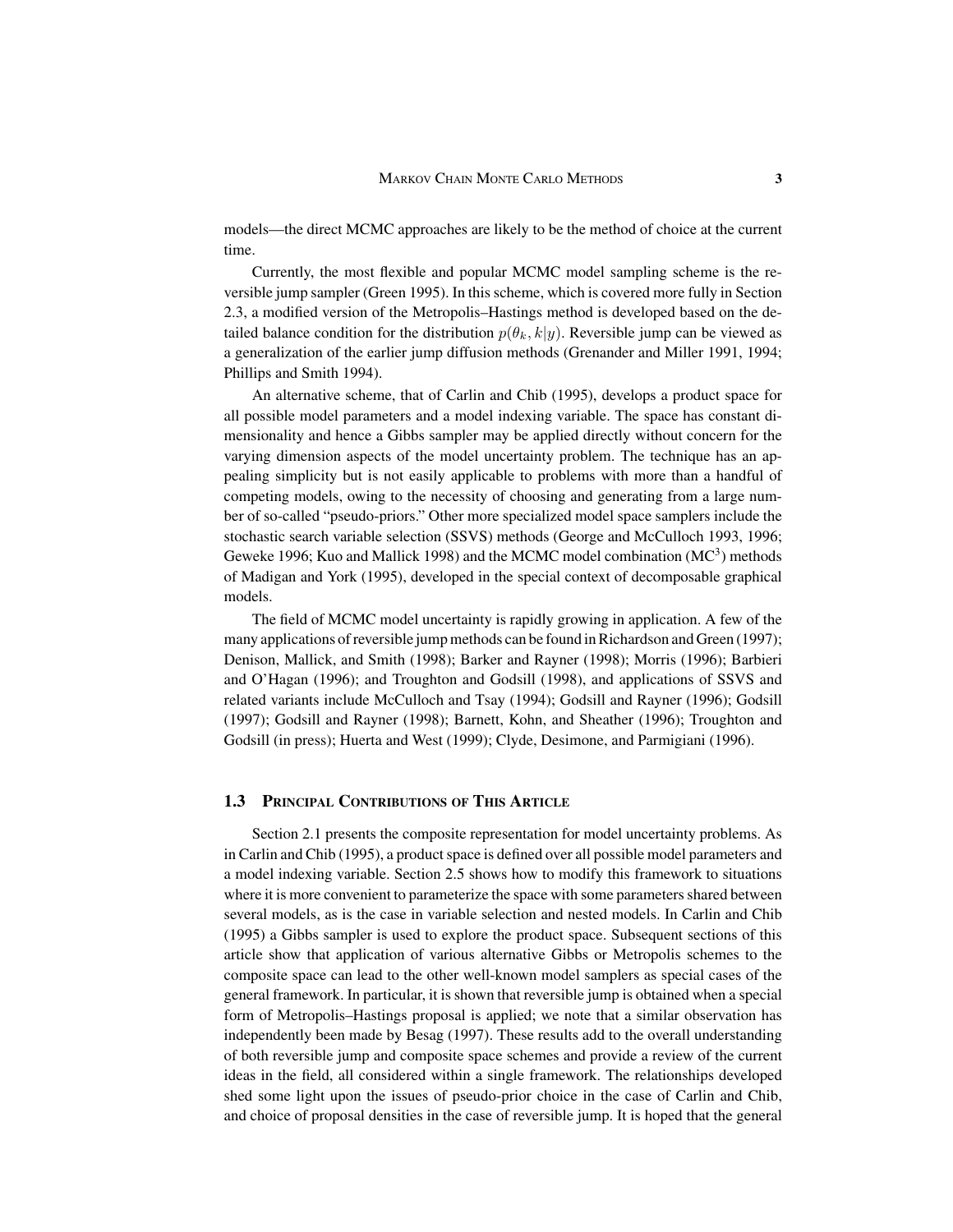models—the direct MCMC approaches are likely to be the method of choice at the current time.

Currently, the most flexible and popular MCMC model sampling scheme is the reversible jump sampler (Green 1995). In this scheme, which is covered more fully in Section 2.3, a modified version of the Metropolis–Hastings method is developed based on the detailed balance condition for the distribution  $p(\theta_k, k|y)$ . Reversible jump can be viewed as a generalization of the earlier jump diffusion methods (Grenander and Miller 1991, 1994; Phillips and Smith 1994).

An alternative scheme, that of Carlin and Chib (1995), develops a product space for all possible model parameters and a model indexing variable. The space has constant dimensionality and hence a Gibbs sampler may be applied directly without concern for the varying dimension aspects of the model uncertainty problem. The technique has an appealing simplicity but is not easily applicable to problems with more than a handful of competing models, owing to the necessity of choosing and generating from a large number of so-called "pseudo-priors." Other more specialized model space samplers include the stochastic search variable selection (SSVS) methods (George and McCulloch 1993, 1996; Geweke 1996; Kuo and Mallick 1998) and the MCMC model combination  $(MC<sup>3</sup>)$  methods of Madigan and York (1995), developed in the special context of decomposable graphical models.

The field of MCMC model uncertainty is rapidly growing in application. A few of the many applications of reversible jump methods can be found in Richardson and Green (1997); Denison, Mallick, and Smith (1998); Barker and Rayner (1998); Morris (1996); Barbieri and O'Hagan (1996); and Troughton and Godsill (1998), and applications of SSVS and related variants include McCulloch and Tsay (1994); Godsill and Rayner (1996); Godsill (1997); Godsill and Rayner (1998); Barnett, Kohn, and Sheather (1996); Troughton and Godsill (in press); Huerta and West (1999); Clyde, Desimone, and Parmigiani (1996).

#### **1.3 PRINCIPAL CONTRIBUTIONS OF THIS ARTICLE**

Section 2.1 presents the composite representation for model uncertainty problems. As in Carlin and Chib (1995), a product space is defined over all possible model parameters and a model indexing variable. Section 2.5 shows how to modify this framework to situations where it is more convenient to parameterize the space with some parameters shared between several models, as is the case in variable selection and nested models. In Carlin and Chib (1995) a Gibbs sampler is used to explore the product space. Subsequent sections of this article show that application of various alternative Gibbs or Metropolis schemes to the composite space can lead to the other well-known model samplers as special cases of the general framework. In particular, it is shown that reversible jump is obtained when a special form of Metropolis–Hastings proposal is applied; we note that a similar observation has independently been made by Besag (1997). These results add to the overall understanding of both reversible jump and composite space schemes and provide a review of the current ideas in the field, all considered within a single framework. The relationships developed shed some light upon the issues of pseudo-prior choice in the case of Carlin and Chib, and choice of proposal densities in the case of reversible jump. It is hoped that the general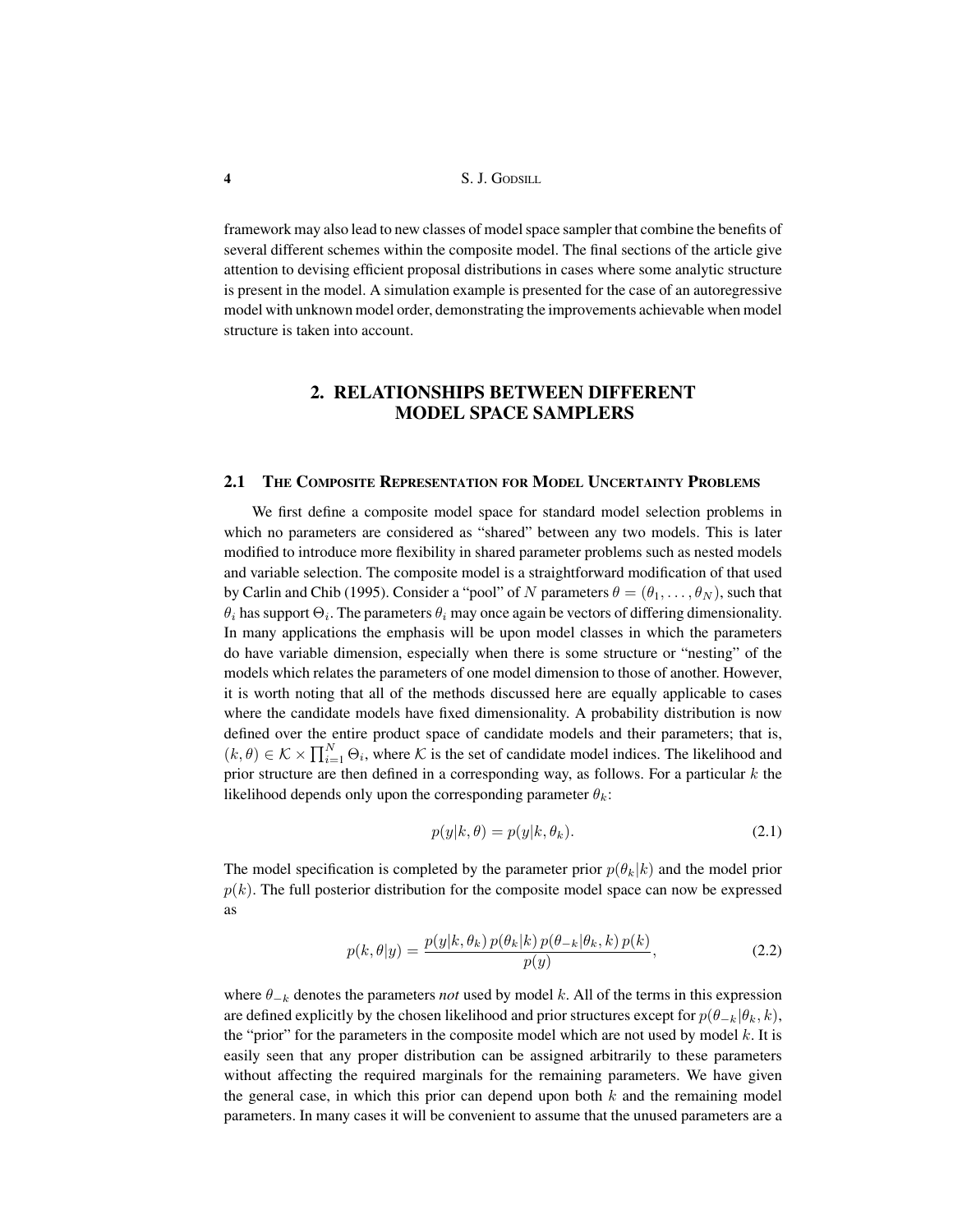framework may also lead to new classes of model space sampler that combine the benefits of several different schemes within the composite model. The final sections of the article give attention to devising efficient proposal distributions in cases where some analytic structure is present in the model. A simulation example is presented for the case of an autoregressive model with unknown model order, demonstrating the improvements achievable when model structure is taken into account.

# **2. RELATIONSHIPS BETWEEN DIFFERENT MODEL SPACE SAMPLERS**

#### **2.1 THE COMPOSITE REPRESENTATION FOR MODEL UNCERTAINTY PROBLEMS**

We first define a composite model space for standard model selection problems in which no parameters are considered as "shared" between any two models. This is later modified to introduce more flexibility in shared parameter problems such as nested models and variable selection. The composite model is a straightforward modification of that used by Carlin and Chib (1995). Consider a "pool" of N parameters  $\theta = (\theta_1, \dots, \theta_N)$ , such that  $\theta_i$  has support  $\Theta_i$ . The parameters  $\theta_i$  may once again be vectors of differing dimensionality. In many applications the emphasis will be upon model classes in which the parameters do have variable dimension, especially when there is some structure or "nesting" of the models which relates the parameters of one model dimension to those of another. However, it is worth noting that all of the methods discussed here are equally applicable to cases where the candidate models have fixed dimensionality. A probability distribution is now defined over the entire product space of candidate models and their parameters; that is,  $(k, \theta) \in \mathcal{K} \times \prod_{i=1}^{N} \Theta_i$ , where K is the set of candidate model indices. The likelihood and prior structure are then defined in a corresponding way, as follows. For a particular  $k$  the likelihood depends only upon the corresponding parameter  $\theta_k$ :

$$
p(y|k,\theta) = p(y|k,\theta_k). \tag{2.1}
$$

The model specification is completed by the parameter prior  $p(\theta_k|k)$  and the model prior  $p(k)$ . The full posterior distribution for the composite model space can now be expressed as

$$
p(k, \theta | y) = \frac{p(y|k, \theta_k) p(\theta_k | k) p(\theta_{-k} | \theta_k, k) p(k)}{p(y)},
$$
\n(2.2)

where  $\theta_{-k}$  denotes the parameters *not* used by model k. All of the terms in this expression are defined explicitly by the chosen likelihood and prior structures except for  $p(\theta_{-k}|\theta_k, k)$ , the "prior" for the parameters in the composite model which are not used by model  $k$ . It is easily seen that any proper distribution can be assigned arbitrarily to these parameters without affecting the required marginals for the remaining parameters. We have given the general case, in which this prior can depend upon both  $k$  and the remaining model parameters. In many cases it will be convenient to assume that the unused parameters are a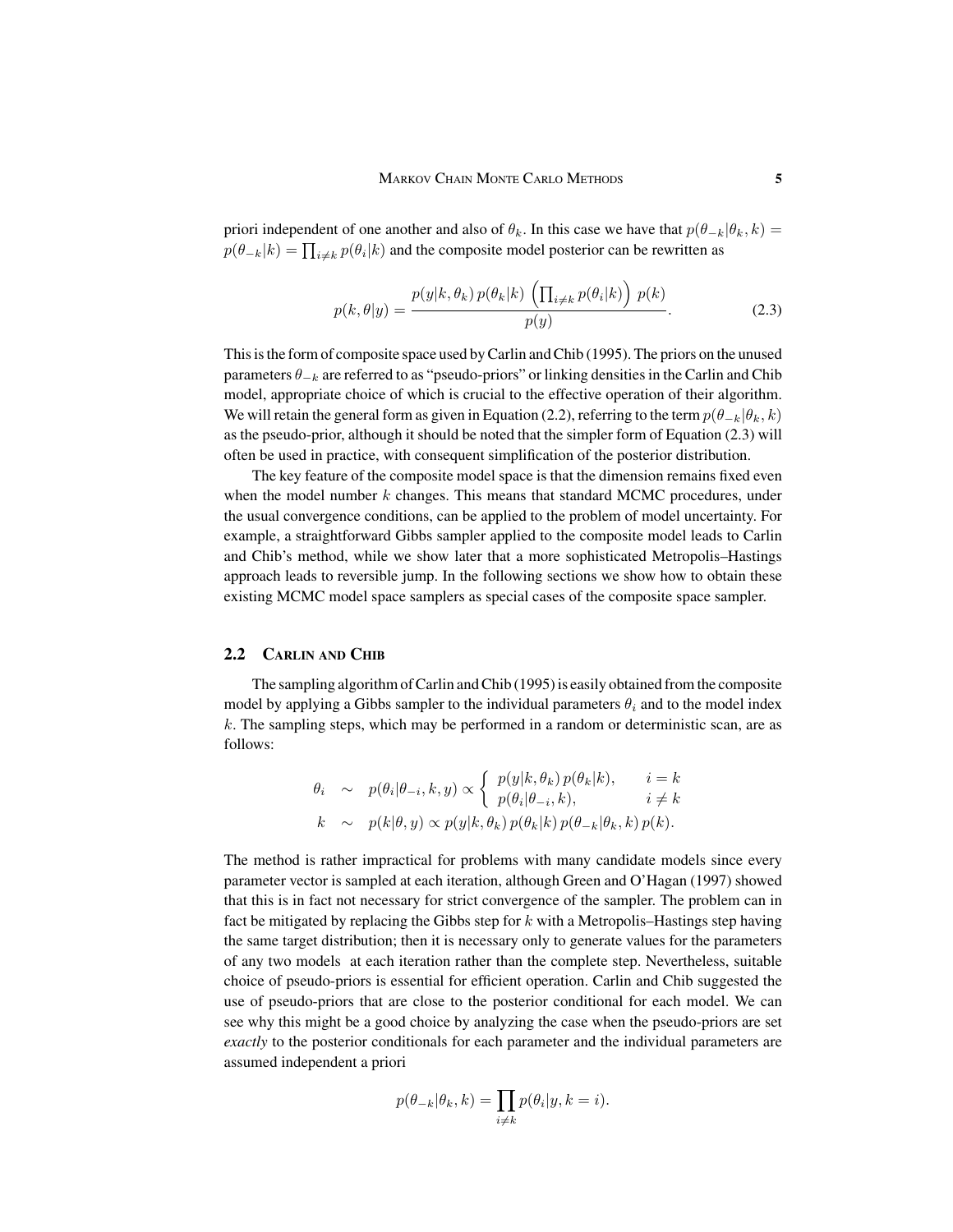priori independent of one another and also of  $\theta_k$ . In this case we have that  $p(\theta_{-k}|\theta_k, k)$  =  $p(\theta_{-k}|k) = \prod_{i \neq k} p(\theta_i|k)$  and the composite model posterior can be rewritten as

$$
p(k, \theta | y) = \frac{p(y|k, \theta_k) p(\theta_k | k) \left( \prod_{i \neq k} p(\theta_i | k) \right) p(k)}{p(y)}.
$$
 (2.3)

This is the form of composite space used by Carlin and Chib (1995). The priors on the unused parameters  $\theta_{-k}$  are referred to as "pseudo-priors" or linking densities in the Carlin and Chib model, appropriate choice of which is crucial to the effective operation of their algorithm. We will retain the general form as given in Equation (2.2), referring to the term  $p(\theta_{-k}|\theta_k, k)$ as the pseudo-prior, although it should be noted that the simpler form of Equation (2.3) will often be used in practice, with consequent simplification of the posterior distribution.

The key feature of the composite model space is that the dimension remains fixed even when the model number  $k$  changes. This means that standard MCMC procedures, under the usual convergence conditions, can be applied to the problem of model uncertainty. For example, a straightforward Gibbs sampler applied to the composite model leads to Carlin and Chib's method, while we show later that a more sophisticated Metropolis–Hastings approach leads to reversible jump. In the following sections we show how to obtain these existing MCMC model space samplers as special cases of the composite space sampler.

#### **2.2 CARLIN AND CHIB**

The sampling algorithm of Carlin and Chib (1995) is easily obtained from the composite model by applying a Gibbs sampler to the individual parameters  $\theta_i$  and to the model index  $k$ . The sampling steps, which may be performed in a random or deterministic scan, are as follows:

$$
\theta_i \sim p(\theta_i | \theta_{-i}, k, y) \propto \begin{cases} p(y|k, \theta_k) p(\theta_k | k), & i = k \\ p(\theta_i | \theta_{-i}, k), & i \neq k \end{cases}
$$
  

$$
k \sim p(k | \theta, y) \propto p(y|k, \theta_k) p(\theta_k | k) p(\theta_{-k} | \theta_k, k) p(k).
$$

The method is rather impractical for problems with many candidate models since every parameter vector is sampled at each iteration, although Green and O'Hagan (1997) showed that this is in fact not necessary for strict convergence of the sampler. The problem can in fact be mitigated by replacing the Gibbs step for  $k$  with a Metropolis–Hastings step having the same target distribution; then it is necessary only to generate values for the parameters of any two models at each iteration rather than the complete step. Nevertheless, suitable choice of pseudo-priors is essential for efficient operation. Carlin and Chib suggested the use of pseudo-priors that are close to the posterior conditional for each model. We can see why this might be a good choice by analyzing the case when the pseudo-priors are set *exactly* to the posterior conditionals for each parameter and the individual parameters are assumed independent a priori

$$
p(\theta_{-k}|\theta_k, k) = \prod_{i \neq k} p(\theta_i|y, k = i).
$$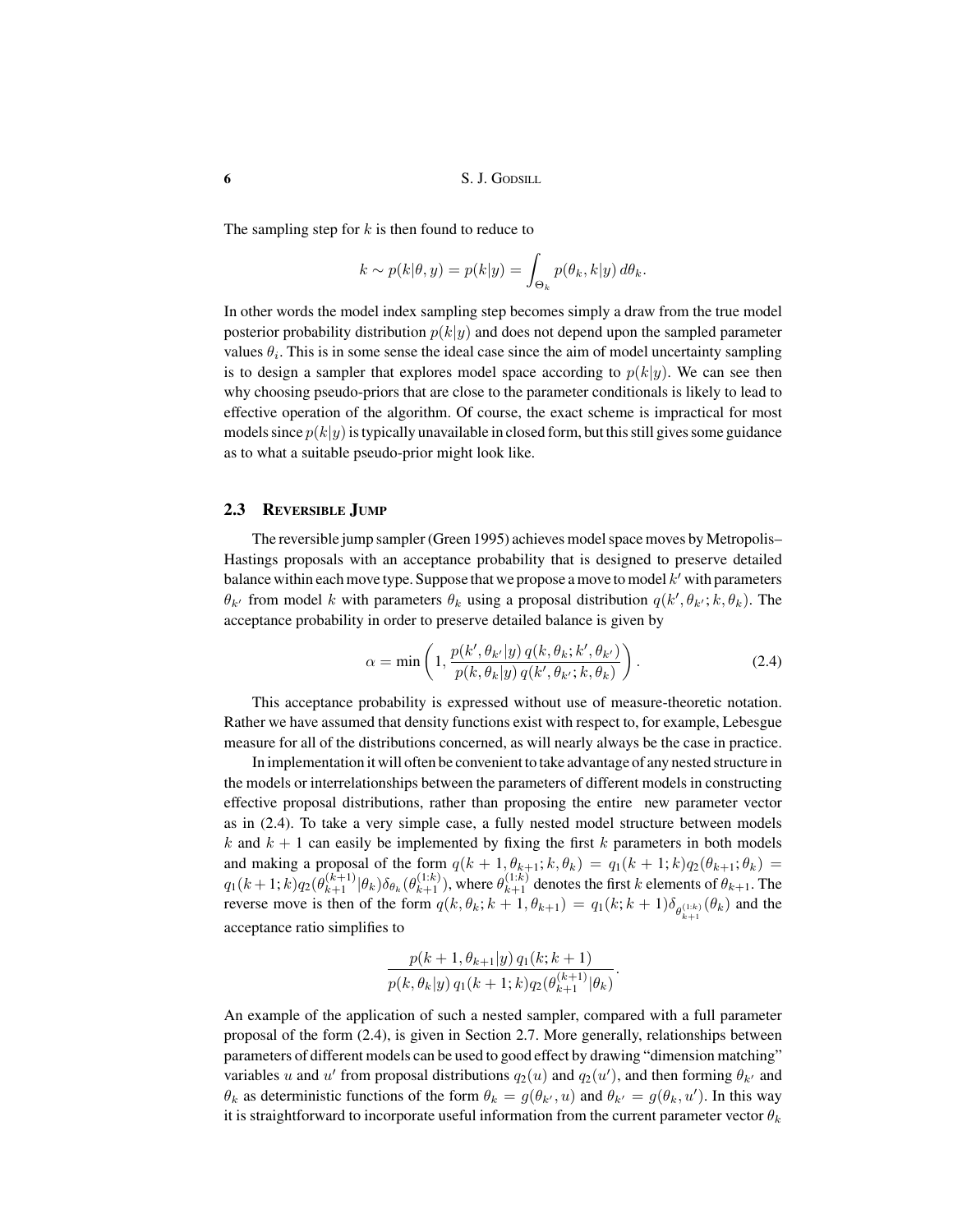The sampling step for  $k$  is then found to reduce to

$$
k \sim p(k|\theta, y) = p(k|y) = \int_{\Theta_k} p(\theta_k, k|y) d\theta_k.
$$

In other words the model index sampling step becomes simply a draw from the true model posterior probability distribution  $p(k|y)$  and does not depend upon the sampled parameter values  $\theta_i$ . This is in some sense the ideal case since the aim of model uncertainty sampling is to design a sampler that explores model space according to  $p(k|y)$ . We can see then why choosing pseudo-priors that are close to the parameter conditionals is likely to lead to effective operation of the algorithm. Of course, the exact scheme is impractical for most models since  $p(k|y)$  is typically unavailable in closed form, but this still gives some guidance as to what a suitable pseudo-prior might look like.

#### **2.3 REVERSIBLE JUMP**

The reversible jump sampler (Green 1995) achieves model space moves by Metropolis– Hastings proposals with an acceptance probability that is designed to preserve detailed balance within each move type. Suppose that we propose a move to model  $k'$  with parameters  $\theta_{k'}$  from model k with parameters  $\theta_k$  using a proposal distribution  $q(k', \theta_{k'}; k, \theta_k)$ . The acceptance probability in order to preserve detailed balance is given by

$$
\alpha = \min\left(1, \frac{p(k', \theta_{k'}|y) q(k, \theta_k; k', \theta_{k'})}{p(k, \theta_k|y) q(k', \theta_{k'}; k, \theta_k)}\right). \tag{2.4}
$$

.

This acceptance probability is expressed without use of measure-theoretic notation. Rather we have assumed that density functions exist with respect to, for example, Lebesgue measure for all of the distributions concerned, as will nearly always be the case in practice.

In implementation it will often be convenient to take advantage of any nested structure in the models or interrelationships between the parameters of different models in constructing effective proposal distributions, rather than proposing the entire new parameter vector as in (2.4). To take a very simple case, a fully nested model structure between models k and  $k + 1$  can easily be implemented by fixing the first k parameters in both models and making a proposal of the form  $q(k + 1, \theta_{k+1}; k, \theta_k) = q_1(k + 1; k)q_2(\theta_{k+1}; \theta_k) =$  $q_1(k+1;k)q_2(\theta_{k+1}^{(k+1)}|\theta_k)\delta_{\theta_k}(\theta_{k+1}^{(1:k)})$ , where  $\theta_{k+1}^{(1:k)}$  denotes the first  $k$  elements of  $\theta_{k+1}$ . The reverse move is then of the form  $q(k, \theta_k; k+1, \theta_{k+1}) = q_1(k; k+1) \delta_{\theta_{k+1}^{(1:k)}}(\theta_k)$  and the acceptance ratio simplifies to

$$
\frac{p(k+1,\theta_{k+1}|y) q_1(k;k+1)}{p(k,\theta_k|y) q_1(k+1;k) q_2(\theta_{k+1}^{(k+1)}|\theta_k)}
$$

An example of the application of such a nested sampler, compared with a full parameter proposal of the form (2.4), is given in Section 2.7. More generally, relationships between parameters of different models can be used to good effect by drawing "dimension matching" variables u and u' from proposal distributions  $q_2(u)$  and  $q_2(u')$ , and then forming  $\theta_{k'}$  and  $\theta_k$  as deterministic functions of the form  $\theta_k = g(\theta_{k'}, u)$  and  $\theta_{k'} = g(\theta_k, u')$ . In this way it is straightforward to incorporate useful information from the current parameter vector  $\theta_k$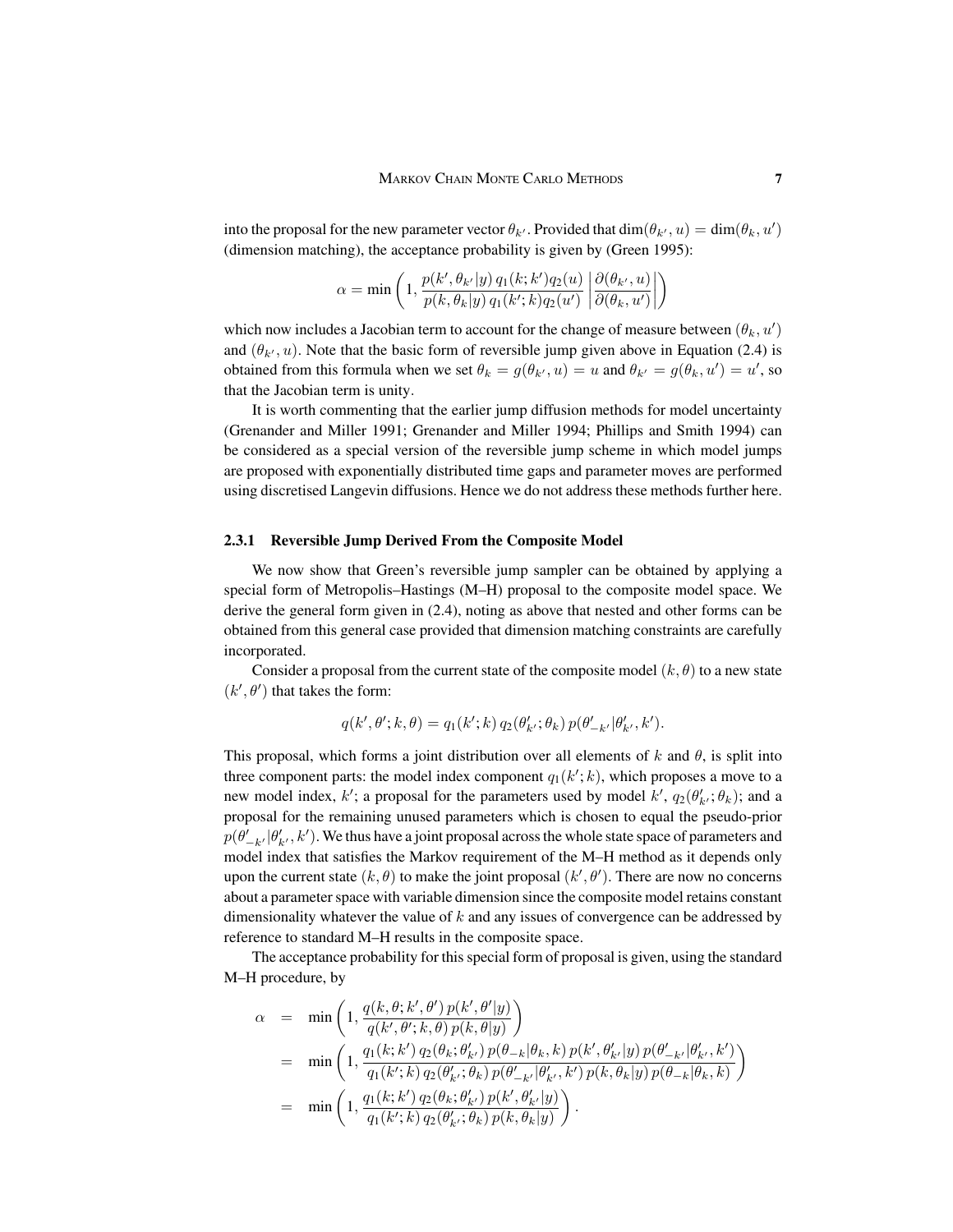into the proposal for the new parameter vector  $\theta_{k'}$ . Provided that  $\dim(\theta_{k'}, u) = \dim(\theta_k, u')$ (dimension matching), the acceptance probability is given by (Green 1995):

$$
\alpha = \min\left(1, \frac{p(k', \theta_{k'}|y) q_1(k; k') q_2(u)}{p(k, \theta_k|y) q_1(k'; k) q_2(u')} \left| \frac{\partial(\theta_{k'}, u)}{\partial(\theta_k, u')}\right|\right)
$$

which now includes a Jacobian term to account for the change of measure between  $(\theta_k, u')$ and  $(\theta_{k'}, u)$ . Note that the basic form of reversible jump given above in Equation (2.4) is obtained from this formula when we set  $\theta_k = g(\theta_{k'}, u) = u$  and  $\theta_{k'} = g(\theta_k, u') = u'$ , so that the Jacobian term is unity.

It is worth commenting that the earlier jump diffusion methods for model uncertainty (Grenander and Miller 1991; Grenander and Miller 1994; Phillips and Smith 1994) can be considered as a special version of the reversible jump scheme in which model jumps are proposed with exponentially distributed time gaps and parameter moves are performed using discretised Langevin diffusions. Hence we do not address these methods further here.

#### **2.3.1 Reversible Jump Derived From the Composite Model**

We now show that Green's reversible jump sampler can be obtained by applying a special form of Metropolis–Hastings (M–H) proposal to the composite model space. We derive the general form given in (2.4), noting as above that nested and other forms can be obtained from this general case provided that dimension matching constraints are carefully incorporated.

Consider a proposal from the current state of the composite model  $(k, \theta)$  to a new state  $(k', \theta')$  that takes the form:

$$
q(k', \theta'; k, \theta) = q_1(k'; k) q_2(\theta'_{k'}; \theta_k) p(\theta'_{-k'} | \theta'_{k'}, k').
$$

This proposal, which forms a joint distribution over all elements of k and  $\theta$ , is split into three component parts: the model index component  $q_1(k';k)$ , which proposes a move to a new model index, k'; a proposal for the parameters used by model  $k'$ ,  $q_2(\theta'_{k'};\theta_k)$ ; and a proposal for the remaining unused parameters which is chosen to equal the pseudo-prior  $p(\theta'_{-k'}|\theta'_{k'}, k')$ . We thus have a joint proposal across the whole state space of parameters and model index that satisfies the Markov requirement of the M–H method as it depends only upon the current state  $(k, \theta)$  to make the joint proposal  $(k', \theta')$ . There are now no concerns about a parameter space with variable dimension since the composite model retains constant dimensionality whatever the value of  $k$  and any issues of convergence can be addressed by reference to standard M–H results in the composite space.

The acceptance probability for this special form of proposal is given, using the standard M–H procedure, by

$$
\alpha = \min \left( 1, \frac{q(k, \theta; k', \theta') p(k', \theta' | y)}{q(k', \theta'; k, \theta) p(k, \theta | y)} \right)
$$
  
\n
$$
= \min \left( 1, \frac{q_1(k; k') q_2(\theta_k; \theta'_{k'}) p(\theta_{-k} | \theta_k, k) p(k', \theta'_{k'} | y) p(\theta'_{-k'} | \theta'_{k'}, k')}{q_1(k'; k) q_2(\theta'_{k'}; \theta_k) p(\theta'_{-k'} | \theta'_{k'}, k') p(k, \theta_k | y) p(\theta_{-k} | \theta_k, k)} \right)
$$
  
\n
$$
= \min \left( 1, \frac{q_1(k; k') q_2(\theta_k; \theta'_{k'}) p(k', \theta'_{k'} | y)}{q_1(k'; k) q_2(\theta'_{k'}; \theta_k) p(k, \theta_k | y)} \right).
$$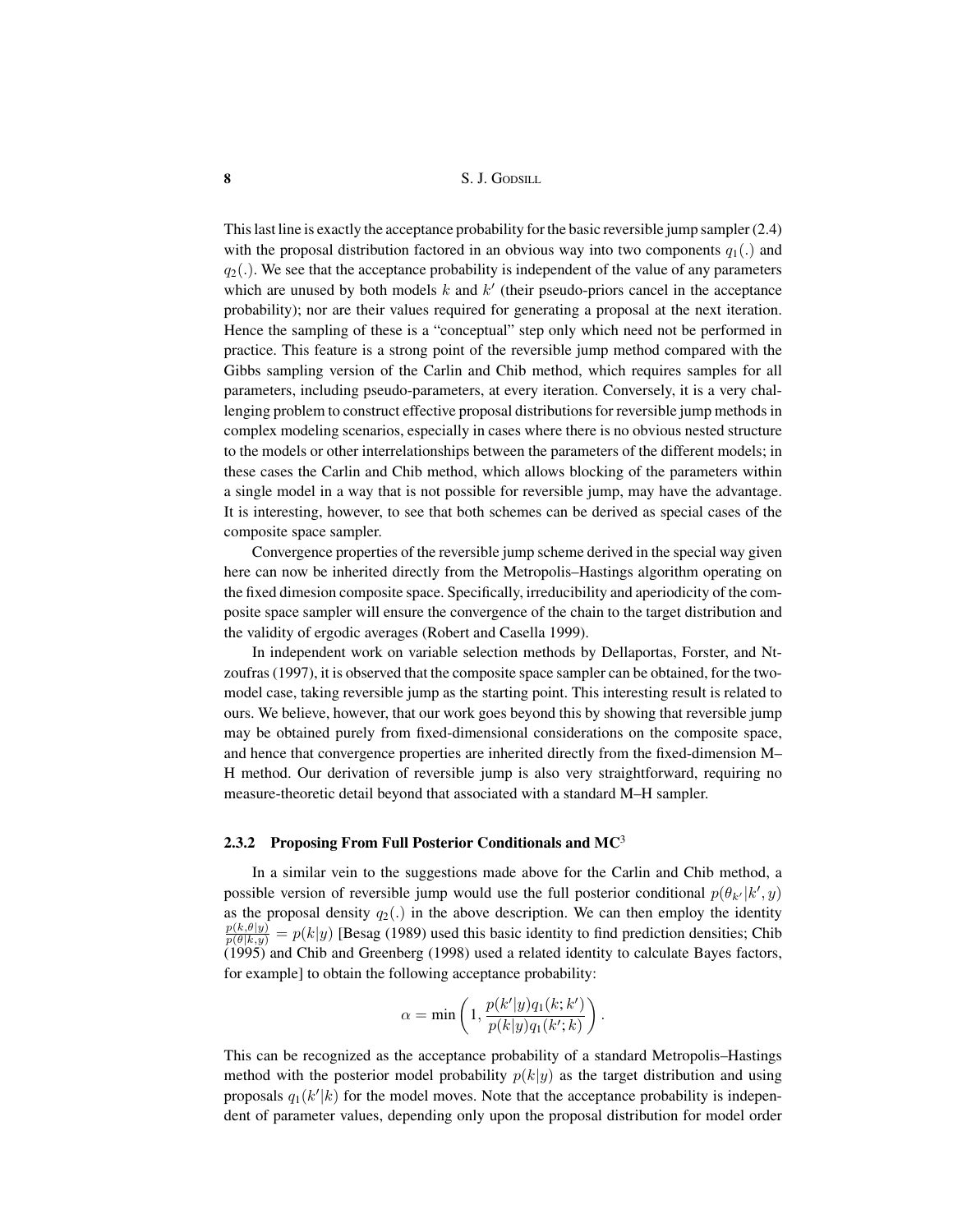This last line is exactly the acceptance probability for the basic reversible jump sampler (2.4) with the proposal distribution factored in an obvious way into two components  $q_1(.)$  and  $q_2(.)$ . We see that the acceptance probability is independent of the value of any parameters which are unused by both models  $k$  and  $k'$  (their pseudo-priors cancel in the acceptance probability); nor are their values required for generating a proposal at the next iteration. Hence the sampling of these is a "conceptual" step only which need not be performed in practice. This feature is a strong point of the reversible jump method compared with the Gibbs sampling version of the Carlin and Chib method, which requires samples for all parameters, including pseudo-parameters, at every iteration. Conversely, it is a very challenging problem to construct effective proposal distributions for reversible jump methods in complex modeling scenarios, especially in cases where there is no obvious nested structure to the models or other interrelationships between the parameters of the different models; in these cases the Carlin and Chib method, which allows blocking of the parameters within a single model in a way that is not possible for reversible jump, may have the advantage. It is interesting, however, to see that both schemes can be derived as special cases of the composite space sampler.

Convergence properties of the reversible jump scheme derived in the special way given here can now be inherited directly from the Metropolis–Hastings algorithm operating on the fixed dimesion composite space. Specifically, irreducibility and aperiodicity of the composite space sampler will ensure the convergence of the chain to the target distribution and the validity of ergodic averages (Robert and Casella 1999).

In independent work on variable selection methods by Dellaportas, Forster, and Ntzoufras (1997), it is observed that the composite space sampler can be obtained, for the twomodel case, taking reversible jump as the starting point. This interesting result is related to ours. We believe, however, that our work goes beyond this by showing that reversible jump may be obtained purely from fixed-dimensional considerations on the composite space, and hence that convergence properties are inherited directly from the fixed-dimension M– H method. Our derivation of reversible jump is also very straightforward, requiring no measure-theoretic detail beyond that associated with a standard M–H sampler.

#### **2.3.2 Proposing From Full Posterior Conditionals and MC**<sup>3</sup>

In a similar vein to the suggestions made above for the Carlin and Chib method, a possible version of reversible jump would use the full posterior conditional  $p(\theta_{k'}|k', y)$ as the proposal density  $q_2(.)$  in the above description. We can then employ the identity  $\frac{p(k,\theta|y)}{p(k,\theta|y)} = p(k|y)$  [Besag (1989) used this basic identity to find prediction densities: Chib  $\frac{p(k,\theta|y)}{p(\theta|k,y)} = p(k|y)$  [Besag (1989) used this basic identity to find prediction densities; Chib (1995) and Chib and Greenberg (1998) used a related identity to calculate Bayes factors, for example] to obtain the following acceptance probability:

$$
\alpha = \min\left(1, \frac{p(k'|y)q_1(k;k')}{p(k|y)q_1(k';k)}\right)
$$

.

This can be recognized as the acceptance probability of a standard Metropolis–Hastings method with the posterior model probability  $p(k|y)$  as the target distribution and using proposals  $q_1(k'|k)$  for the model moves. Note that the acceptance probability is independent of parameter values, depending only upon the proposal distribution for model order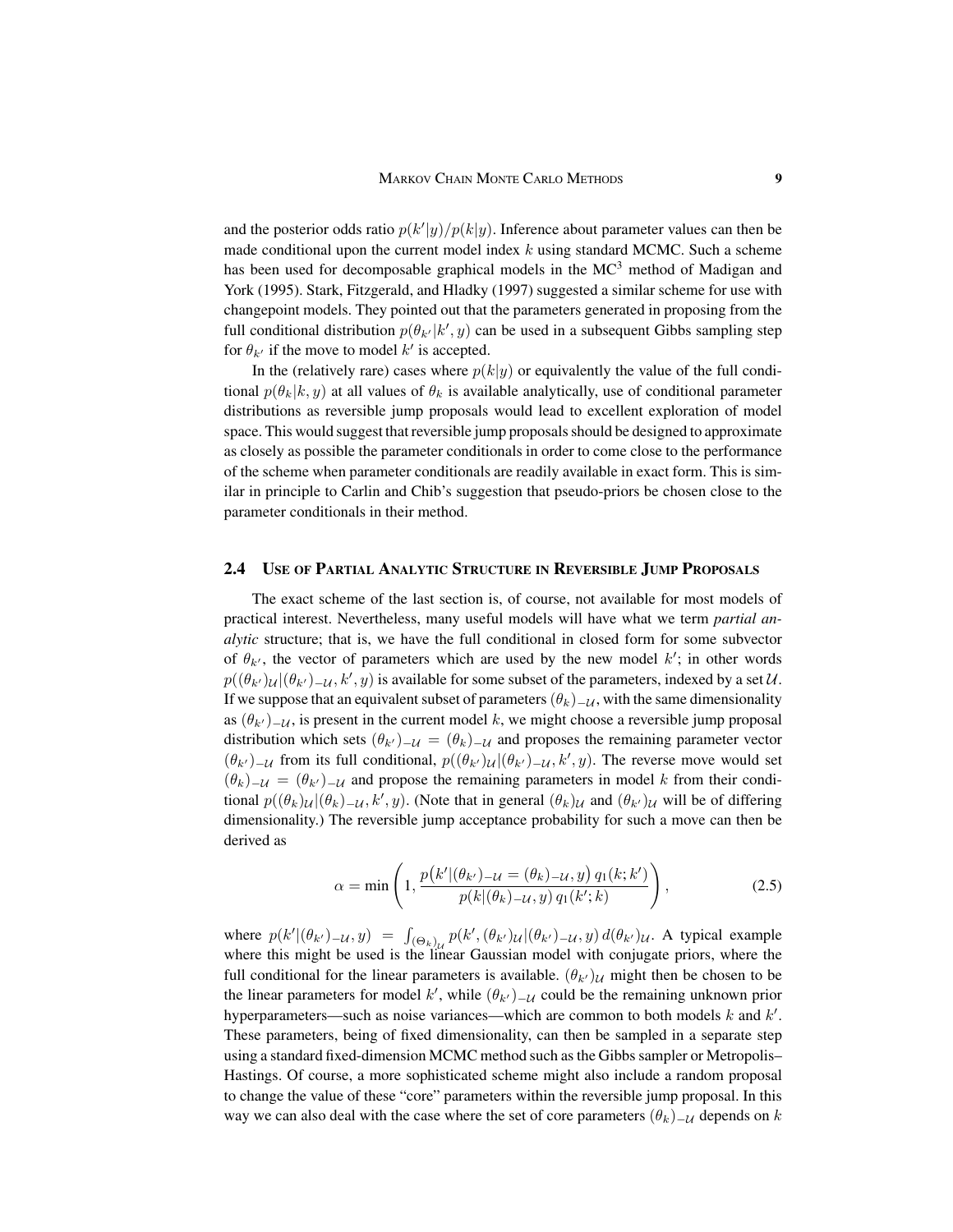and the posterior odds ratio  $p(k'|y)/p(k|y)$ . Inference about parameter values can then be made conditional upon the current model index  $k$  using standard MCMC. Such a scheme has been used for decomposable graphical models in the  $MC<sup>3</sup>$  method of Madigan and York (1995). Stark, Fitzgerald, and Hladky (1997) suggested a similar scheme for use with changepoint models. They pointed out that the parameters generated in proposing from the full conditional distribution  $p(\theta_{k'}|k', y)$  can be used in a subsequent Gibbs sampling step for  $\theta_{k'}$  if the move to model k' is accepted.

In the (relatively rare) cases where  $p(k|y)$  or equivalently the value of the full conditional  $p(\theta_k|k, y)$  at all values of  $\theta_k$  is available analytically, use of conditional parameter distributions as reversible jump proposals would lead to excellent exploration of model space. This would suggest that reversible jump proposals should be designed to approximate as closely as possible the parameter conditionals in order to come close to the performance of the scheme when parameter conditionals are readily available in exact form. This is similar in principle to Carlin and Chib's suggestion that pseudo-priors be chosen close to the parameter conditionals in their method.

#### **2.4 USE OF PARTIAL ANALYTIC STRUCTURE IN REVERSIBLE JUMP PROPOSALS**

The exact scheme of the last section is, of course, not available for most models of practical interest. Nevertheless, many useful models will have what we term *partial analytic* structure; that is, we have the full conditional in closed form for some subvector of  $\theta_{k'}$ , the vector of parameters which are used by the new model  $k'$ ; in other words  $p((\theta_{k'})_{\mathcal{U}} | (\theta_{k'})_{-\mathcal{U}}, k', y)$  is available for some subset of the parameters, indexed by a set  $\mathcal{U}$ . If we suppose that an equivalent subset of parameters  $(\theta_k)$ <sub>-U</sub>, with the same dimensionality as  $(\theta_{k'})$ <sub>-U</sub>, is present in the current model k, we might choose a reversible jump proposal distribution which sets  $(\theta_{k'})_{-l} = (\theta_k)_{-l}$  and proposes the remaining parameter vector  $(\theta_{k'})_{-l}$  from its full conditional,  $p((\theta_{k'})_{\mathcal{U}} | (\theta_{k'})_{-l}, k', y)$ . The reverse move would set  $(\theta_k)_{-\mathcal{U}} = (\theta_{k'})_{-\mathcal{U}}$  and propose the remaining parameters in model k from their conditional  $p((\theta_k)_{\mathcal{U}} | (\theta_k)_{-\mathcal{U}}, k', y)$ . (Note that in general  $(\theta_k)_{\mathcal{U}}$  and  $(\theta_{k'})_{\mathcal{U}}$  will be of differing dimensionality.) The reversible jump acceptance probability for such a move can then be derived as

$$
\alpha = \min\left(1, \frac{p(k' | (\theta_{k'})_{-l} = (\theta_{k})_{-l} , y) q_1(k; k')}{p(k | (\theta_{k})_{-l} , y) q_1(k'; k)}\right),\tag{2.5}
$$

where  $p(k' | (\theta_{k'})_{-U}, y) = \int_{(\Theta_k)_{U}} p(k', (\theta_{k'})_{U} | (\theta_{k'})_{-U}, y) d(\theta_{k'})_{U}$ . A typical example where this might be used is the linear Gaussian model with conjugate priors, where the full conditional for the linear parameters is available.  $(\theta_{k'})_{\mathcal{U}}$  might then be chosen to be the linear parameters for model k', while  $(\theta_{k'})$ <sub>- $\mathcal U$ </sub> could be the remaining unknown prior hyperparameters—such as noise variances—which are common to both models  $k$  and  $k'$ . These parameters, being of fixed dimensionality, can then be sampled in a separate step using a standard fixed-dimension MCMC method such as the Gibbs sampler or Metropolis– Hastings. Of course, a more sophisticated scheme might also include a random proposal to change the value of these "core" parameters within the reversible jump proposal. In this way we can also deal with the case where the set of core parameters  $(\theta_k)$ <sub>−U</sub> depends on k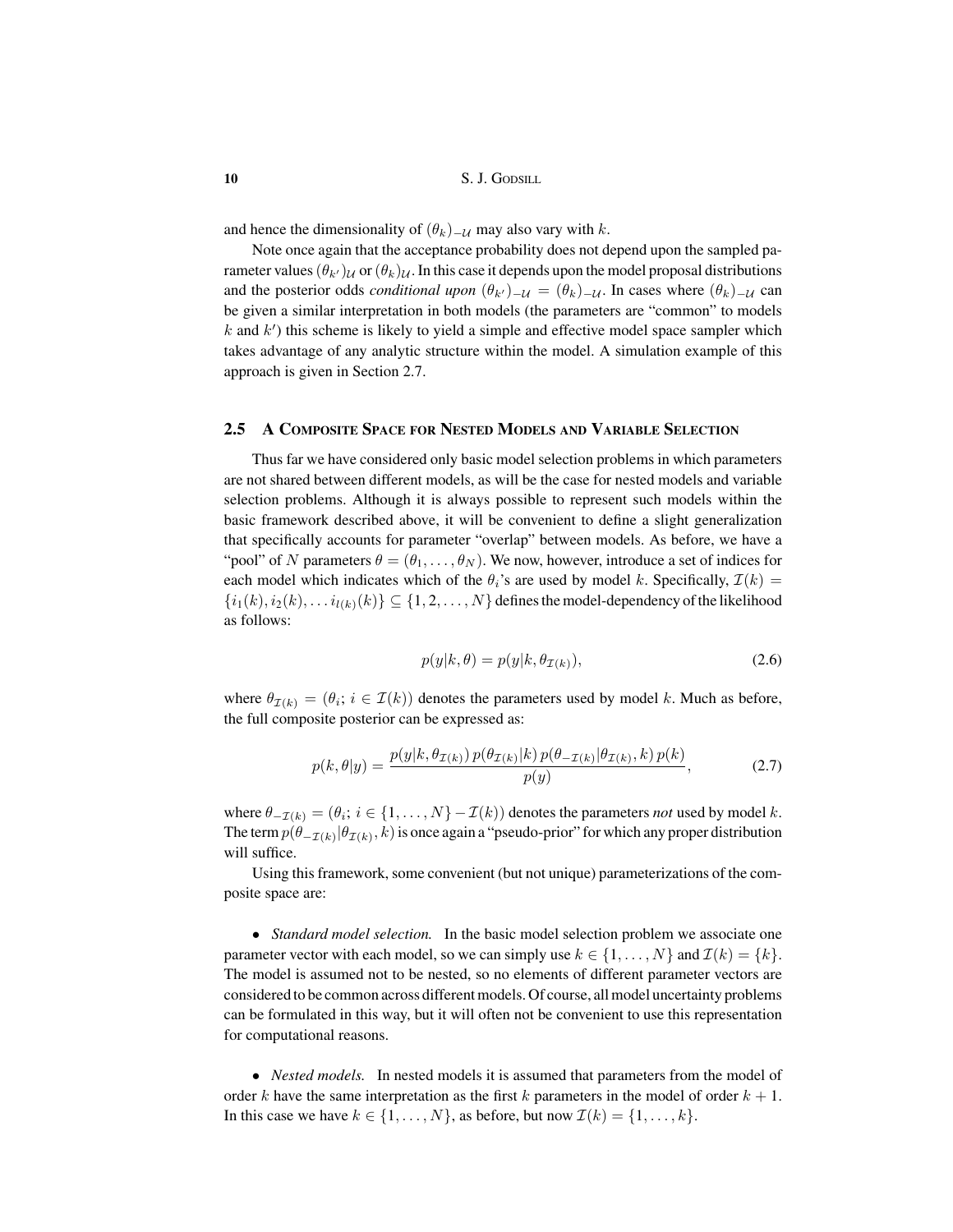and hence the dimensionality of  $(\theta_k)_{-\mathcal{U}}$  may also vary with k.

Note once again that the acceptance probability does not depend upon the sampled parameter values  $(\theta_{k'})_{\mathcal{U}}$  or  $(\theta_k)_{\mathcal{U}}$ . In this case it depends upon the model proposal distributions and the posterior odds *conditional upon*  $(\theta_{k'})$ <sub>-U</sub> =  $(\theta_k)$ <sub>-U</sub>. In cases where  $(\theta_k)$ <sub>-U</sub> can be given a similar interpretation in both models (the parameters are "common" to models  $k$  and  $k'$ ) this scheme is likely to yield a simple and effective model space sampler which takes advantage of any analytic structure within the model. A simulation example of this approach is given in Section 2.7.

# **2.5 A COMPOSITE SPACE FOR NESTED MODELS AND VARIABLE SELECTION**

Thus far we have considered only basic model selection problems in which parameters are not shared between different models, as will be the case for nested models and variable selection problems. Although it is always possible to represent such models within the basic framework described above, it will be convenient to define a slight generalization that specifically accounts for parameter "overlap" between models. As before, we have a "pool" of N parameters  $\theta = (\theta_1, \dots, \theta_N)$ . We now, however, introduce a set of indices for each model which indicates which of the  $\theta_i$ 's are used by model k. Specifically,  $\mathcal{I}(k)$  =  $\{i_1(k), i_2(k), \ldots, i_{l(k)}(k)\}\subseteq \{1, 2, \ldots, N\}$  defines the model-dependency of the likelihood as follows:

$$
p(y|k,\theta) = p(y|k,\theta_{\mathcal{I}(k)}),
$$
\n(2.6)

where  $\theta_{\mathcal{I}(k)} = (\theta_i; i \in \mathcal{I}(k))$  denotes the parameters used by model k. Much as before, the full composite posterior can be expressed as:

$$
p(k,\theta|y) = \frac{p(y|k,\theta_{\mathcal{I}(k)})\,p(\theta_{\mathcal{I}(k)}|k)\,p(\theta_{-\mathcal{I}(k)}|\theta_{\mathcal{I}(k)},k)\,p(k)}{p(y)},\tag{2.7}
$$

where  $\theta_{-\mathcal{I}(k)} = (\theta_i; i \in \{1, ..., N\} - \mathcal{I}(k))$  denotes the parameters *not* used by model k. The term  $p(\theta_{-\mathcal{I}(k)}|\theta_{\mathcal{I}(k)}, k)$  is once again a "pseudo-prior" for which any proper distribution will suffice.

Using this framework, some convenient (but not unique) parameterizations of the composite space are:

• *Standard model selection.* In the basic model selection problem we associate one parameter vector with each model, so we can simply use  $k \in \{1, \ldots, N\}$  and  $\mathcal{I}(k) = \{k\}.$ The model is assumed not to be nested, so no elements of different parameter vectors are considered to be common across different models. Of course, all model uncertainty problems can be formulated in this way, but it will often not be convenient to use this representation for computational reasons.

• *Nested models.* In nested models it is assumed that parameters from the model of order k have the same interpretation as the first k parameters in the model of order  $k + 1$ . In this case we have  $k \in \{1, \ldots, N\}$ , as before, but now  $\mathcal{I}(k) = \{1, \ldots, k\}$ .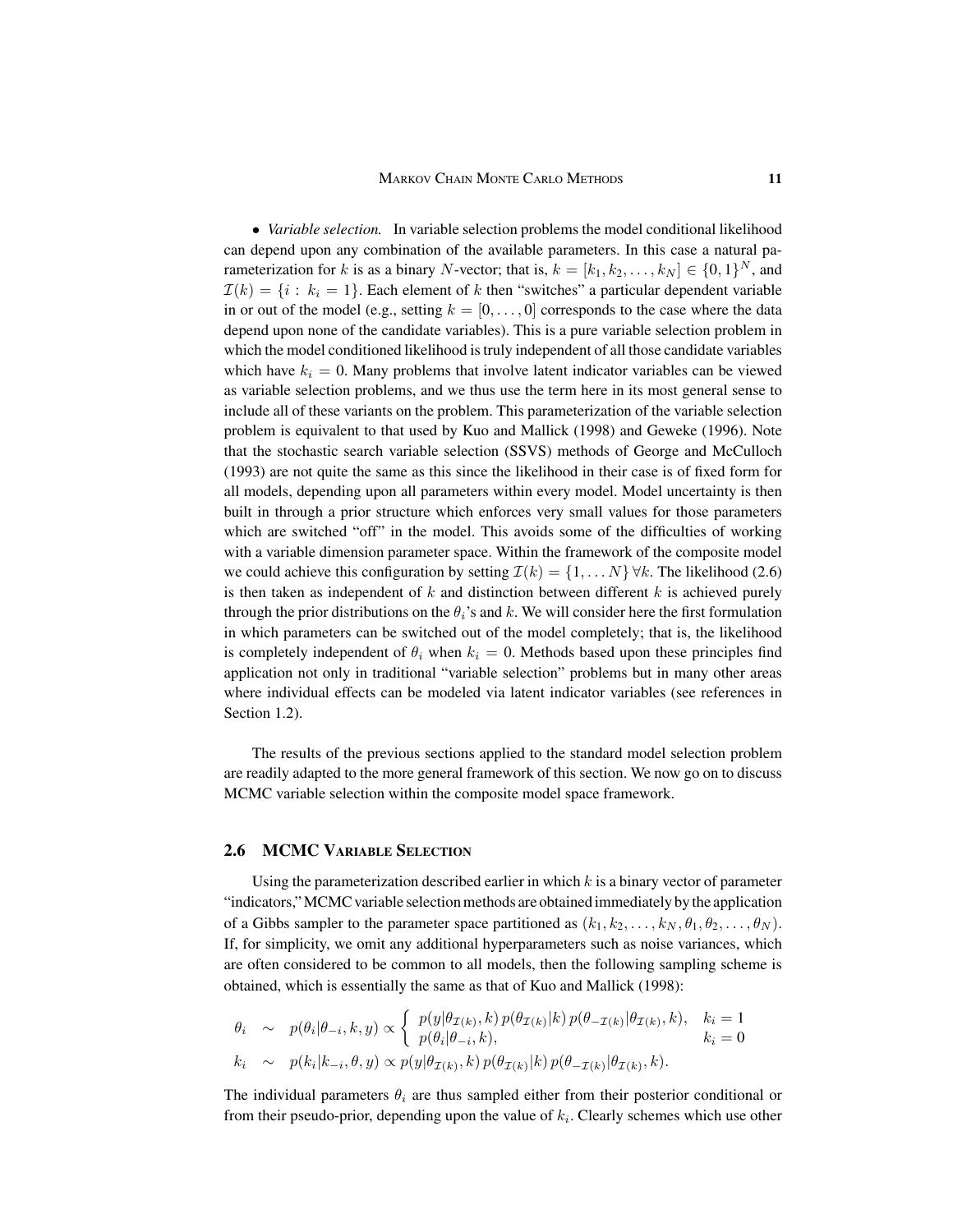• *Variable selection.* In variable selection problems the model conditional likelihood can depend upon any combination of the available parameters. In this case a natural parameterization for k is as a binary N-vector; that is,  $k = [k_1, k_2, \dots, k_N] \in \{0, 1\}^N$ , and  $\mathcal{I}(k) = \{i : k_i = 1\}$ . Each element of k then "switches" a particular dependent variable in or out of the model (e.g., setting  $k = [0, \ldots, 0]$  corresponds to the case where the data depend upon none of the candidate variables). This is a pure variable selection problem in which the model conditioned likelihood is truly independent of all those candidate variables which have  $k_i = 0$ . Many problems that involve latent indicator variables can be viewed as variable selection problems, and we thus use the term here in its most general sense to include all of these variants on the problem. This parameterization of the variable selection problem is equivalent to that used by Kuo and Mallick (1998) and Geweke (1996). Note that the stochastic search variable selection (SSVS) methods of George and McCulloch (1993) are not quite the same as this since the likelihood in their case is of fixed form for all models, depending upon all parameters within every model. Model uncertainty is then built in through a prior structure which enforces very small values for those parameters which are switched "off" in the model. This avoids some of the difficulties of working with a variable dimension parameter space. Within the framework of the composite model we could achieve this configuration by setting  $\mathcal{I}(k) = \{1, \dots N\} \forall k$ . The likelihood (2.6) is then taken as independent of k and distinction between different k is achieved purely through the prior distributions on the  $\theta_i$ 's and k. We will consider here the first formulation in which parameters can be switched out of the model completely; that is, the likelihood is completely independent of  $\theta_i$  when  $k_i = 0$ . Methods based upon these principles find application not only in traditional "variable selection" problems but in many other areas where individual effects can be modeled via latent indicator variables (see references in Section 1.2).

The results of the previous sections applied to the standard model selection problem are readily adapted to the more general framework of this section. We now go on to discuss MCMC variable selection within the composite model space framework.

#### **2.6 MCMC VARIABLE SELECTION**

Using the parameterization described earlier in which  $k$  is a binary vector of parameter "indicators," MCMC variable selection methods are obtained immediately by the application of a Gibbs sampler to the parameter space partitioned as  $(k_1, k_2, \ldots, k_N, \theta_1, \theta_2, \ldots, \theta_N)$ . If, for simplicity, we omit any additional hyperparameters such as noise variances, which are often considered to be common to all models, then the following sampling scheme is obtained, which is essentially the same as that of Kuo and Mallick (1998):

$$
\theta_i \sim p(\theta_i | \theta_{-i}, k, y) \propto \begin{cases} p(y | \theta_{\mathcal{I}(k)}, k) p(\theta_{\mathcal{I}(k)} | k) p(\theta_{-\mathcal{I}(k)} | \theta_{\mathcal{I}(k)}, k), & k_i = 1 \\ p(\theta_i | \theta_{-i}, k), & k_i = 0 \end{cases}
$$
  
\n
$$
k_i \sim p(k_i | k_{-i}, \theta, y) \propto p(y | \theta_{\mathcal{I}(k)}, k) p(\theta_{\mathcal{I}(k)} | k) p(\theta_{-\mathcal{I}(k)} | \theta_{\mathcal{I}(k)}, k).
$$

The individual parameters  $\theta_i$  are thus sampled either from their posterior conditional or from their pseudo-prior, depending upon the value of  $k_i$ . Clearly schemes which use other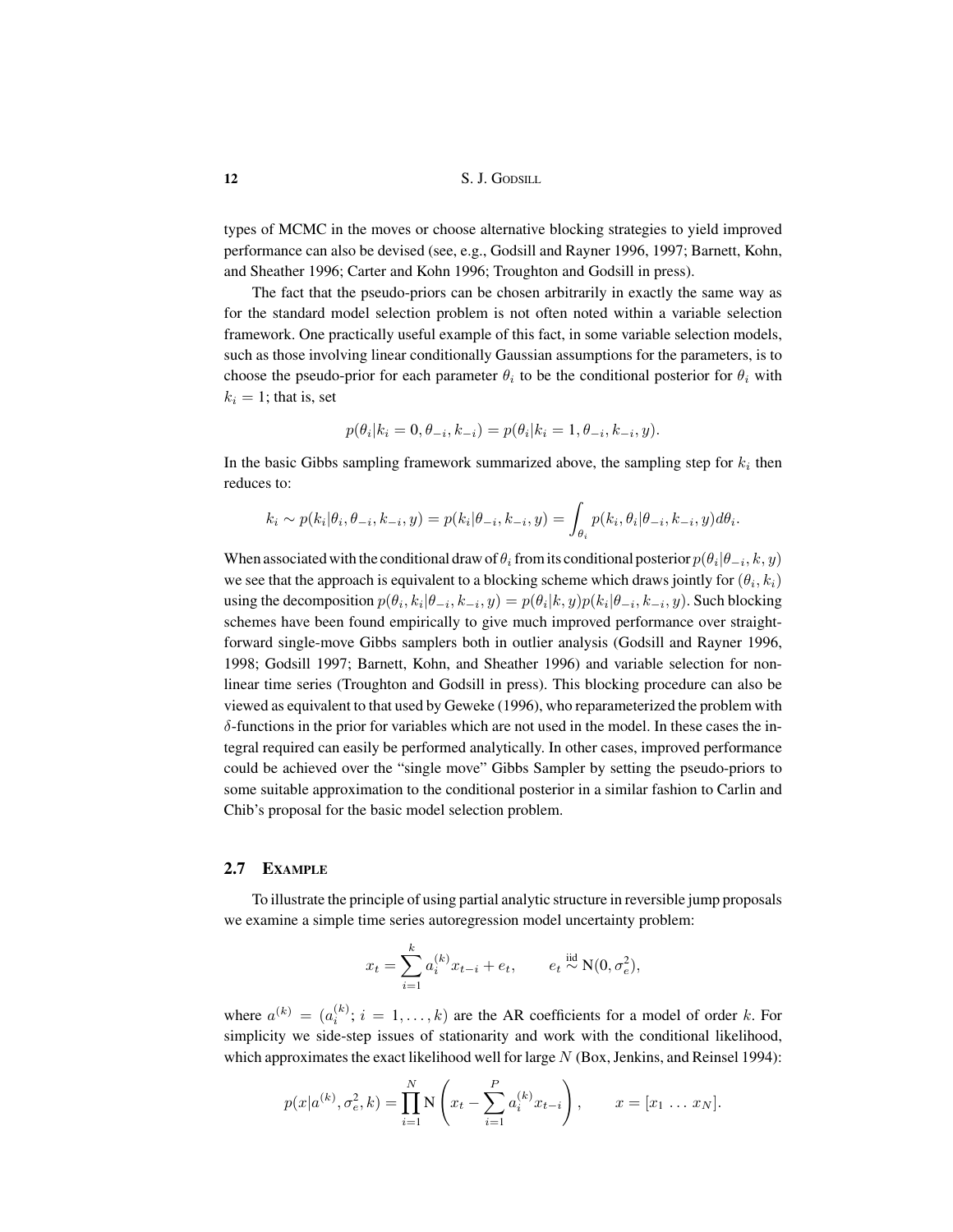types of MCMC in the moves or choose alternative blocking strategies to yield improved performance can also be devised (see, e.g., Godsill and Rayner 1996, 1997; Barnett, Kohn, and Sheather 1996; Carter and Kohn 1996; Troughton and Godsill in press).

The fact that the pseudo-priors can be chosen arbitrarily in exactly the same way as for the standard model selection problem is not often noted within a variable selection framework. One practically useful example of this fact, in some variable selection models, such as those involving linear conditionally Gaussian assumptions for the parameters, is to choose the pseudo-prior for each parameter  $\theta_i$  to be the conditional posterior for  $\theta_i$  with  $k_i = 1$ ; that is, set

$$
p(\theta_i|k_i = 0, \theta_{-i}, k_{-i}) = p(\theta_i|k_i = 1, \theta_{-i}, k_{-i}, y).
$$

In the basic Gibbs sampling framework summarized above, the sampling step for  $k_i$  then reduces to:

$$
k_i \sim p(k_i | \theta_i, \theta_{-i}, k_{-i}, y) = p(k_i | \theta_{-i}, k_{-i}, y) = \int_{\theta_i} p(k_i, \theta_i | \theta_{-i}, k_{-i}, y) d\theta_i.
$$

When associated with the conditional draw of  $\theta_i$  from its conditional posterior  $p(\theta_i|\theta_{-i}, k, y)$ we see that the approach is equivalent to a blocking scheme which draws jointly for  $(\theta_i, k_i)$ using the decomposition  $p(\theta_i, k_i | \theta_{-i}, k_{-i}, y) = p(\theta_i | k, y) p(k_i | \theta_{-i}, k_{-i}, y)$ . Such blocking schemes have been found empirically to give much improved performance over straightforward single-move Gibbs samplers both in outlier analysis (Godsill and Rayner 1996, 1998; Godsill 1997; Barnett, Kohn, and Sheather 1996) and variable selection for nonlinear time series (Troughton and Godsill in press). This blocking procedure can also be viewed as equivalent to that used by Geweke (1996), who reparameterized the problem with  $\delta$ -functions in the prior for variables which are not used in the model. In these cases the integral required can easily be performed analytically. In other cases, improved performance could be achieved over the "single move" Gibbs Sampler by setting the pseudo-priors to some suitable approximation to the conditional posterior in a similar fashion to Carlin and Chib's proposal for the basic model selection problem.

#### **2.7 EXAMPLE**

To illustrate the principle of using partial analytic structure in reversible jump proposals we examine a simple time series autoregression model uncertainty problem:

$$
x_t = \sum_{i=1}^k a_i^{(k)} x_{t-i} + e_t, \qquad e_t \stackrel{\text{iid}}{\sim} \text{N}(0, \sigma_e^2),
$$

where  $a^{(k)} = (a_i^{(k)}; i = 1, \dots, k)$  are the AR coefficients for a model of order k. For simplicity we side-step issues of stationarity and work with the conditional likelihood, which approximates the exact likelihood well for large  $N$  (Box, Jenkins, and Reinsel 1994):

$$
p(x|a^{(k)}, \sigma_e^2, k) = \prod_{i=1}^N N\left(x_t - \sum_{i=1}^P a_i^{(k)} x_{t-i}\right), \qquad x = [x_1 \dots x_N].
$$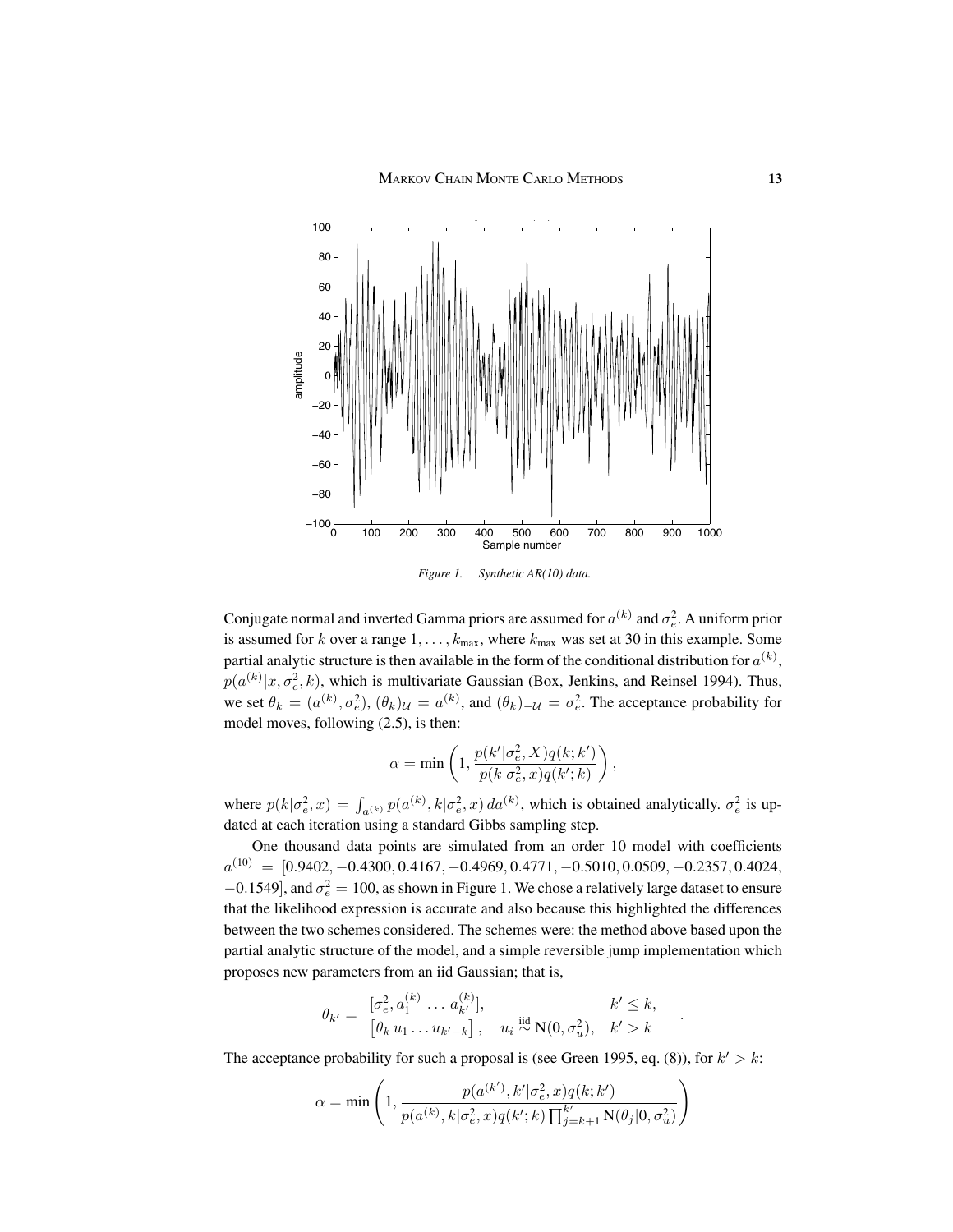

*Figure 1. Synthetic AR(10) data.*

Conjugate normal and inverted Gamma priors are assumed for  $a^{(k)}$  and  $\sigma_e^2$ . A uniform prior is assumed for k over a range  $1, \ldots, k_{\text{max}}$ , where  $k_{\text{max}}$  was set at 30 in this example. Some partial analytic structure is then available in the form of the conditional distribution for  $a^{(k)},$  $p(a^{(k)}|x, \sigma_e^2, k)$ , which is multivariate Gaussian (Box, Jenkins, and Reinsel 1994). Thus, we set  $\theta_k = (a^{(k)}, \sigma_e^2)$ ,  $(\theta_k)_{\mathcal{U}} = a^{(k)}$ , and  $(\theta_k)_{-\mathcal{U}} = \sigma_e^2$ . The acceptance probability for model moves, following (2.5), is then:

$$
\alpha = \min\left(1, \frac{p(k'|\sigma^2_e, X)q(k;k')}{p(k|\sigma^2_e, x)q(k';k)}\right),
$$

where  $p(k|\sigma_e^2, x) = \int_{a^{(k)}} p(a^{(k)}, k|\sigma_e^2, x) da^{(k)}$ , which is obtained analytically.  $\sigma_e^2$  is updated at each iteration using a standard Gibbs sampling step.

One thousand data points are simulated from an order 10 model with coefficients  $a^{(10)} = [0.9402, -0.4300, 0.4167, -0.4969, 0.4771, -0.5010, 0.0509, -0.2357, 0.4024,$  $-0.1549$ , and  $\sigma_e^2 = 100$ , as shown in Figure 1. We chose a relatively large dataset to ensure that the likelihood expression is accurate and also because this highlighted the differences between the two schemes considered. The schemes were: the method above based upon the partial analytic structure of the model, and a simple reversible jump implementation which proposes new parameters from an iid Gaussian; that is,

$$
\theta_{k'} = \begin{bmatrix} \sigma_e^2, a_1^{(k)} & \dots & a_{k'}^{(k)} \end{bmatrix}, \quad k' \leq k, \\ \begin{bmatrix} \theta_k & u_1 & \dots & u_{k'-k} \end{bmatrix}, \quad u_i \stackrel{\text{iid}}{\sim} \mathbf{N}(0, \sigma_u^2), \quad k' > k \end{bmatrix}.
$$

The acceptance probability for such a proposal is (see Green 1995, eq. (8)), for  $k' > k$ :

$$
\alpha = \min\left(1, \frac{p(a^{(k')}, k' | \sigma_e^2, x) q(k; k')}{p(a^{(k)}, k | \sigma_e^2, x) q(k'; k) \prod_{j=k+1}^{k'} N(\theta_j | 0, \sigma_u^2)}\right)
$$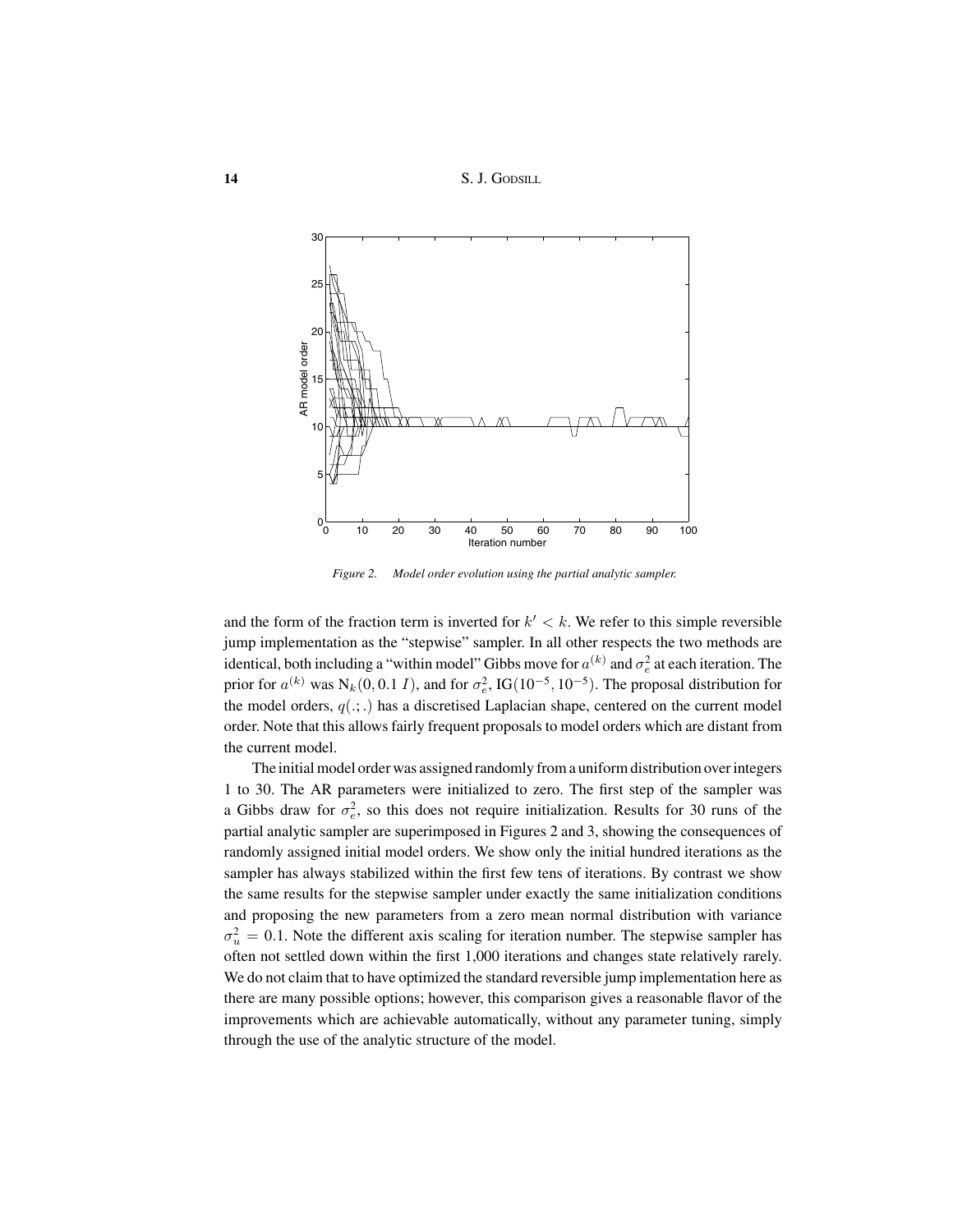

*Figure 2. Model order evolution using the partial analytic sampler.*

and the form of the fraction term is inverted for  $k' < k$ . We refer to this simple reversible jump implementation as the "stepwise" sampler. In all other respects the two methods are identical, both including a "within model" Gibbs move for  $a^{(k)}$  and  $\sigma_e^2$  at each iteration. The prior for  $a^{(k)}$  was N<sub>k</sub>(0, 0.1 *I*), and for  $\sigma_e^2$ , IG(10<sup>-5</sup>, 10<sup>-5</sup>). The proposal distribution for the model orders,  $q(.;.)$  has a discretised Laplacian shape, centered on the current model order. Note that this allows fairly frequent proposals to model orders which are distant from the current model.

The initial model order was assigned randomly from a uniform distribution over integers 1 to 30. The AR parameters were initialized to zero. The first step of the sampler was a Gibbs draw for  $\sigma_e^2$ , so this does not require initialization. Results for 30 runs of the partial analytic sampler are superimposed in Figures 2 and 3, showing the consequences of randomly assigned initial model orders. We show only the initial hundred iterations as the sampler has always stabilized within the first few tens of iterations. By contrast we show the same results for the stepwise sampler under exactly the same initialization conditions and proposing the new parameters from a zero mean normal distribution with variance  $\sigma_u^2 = 0.1$ . Note the different axis scaling for iteration number. The stepwise sampler has often not settled down within the first 1,000 iterations and changes state relatively rarely. We do not claim that to have optimized the standard reversible jump implementation here as there are many possible options; however, this comparison gives a reasonable flavor of the improvements which are achievable automatically, without any parameter tuning, simply through the use of the analytic structure of the model.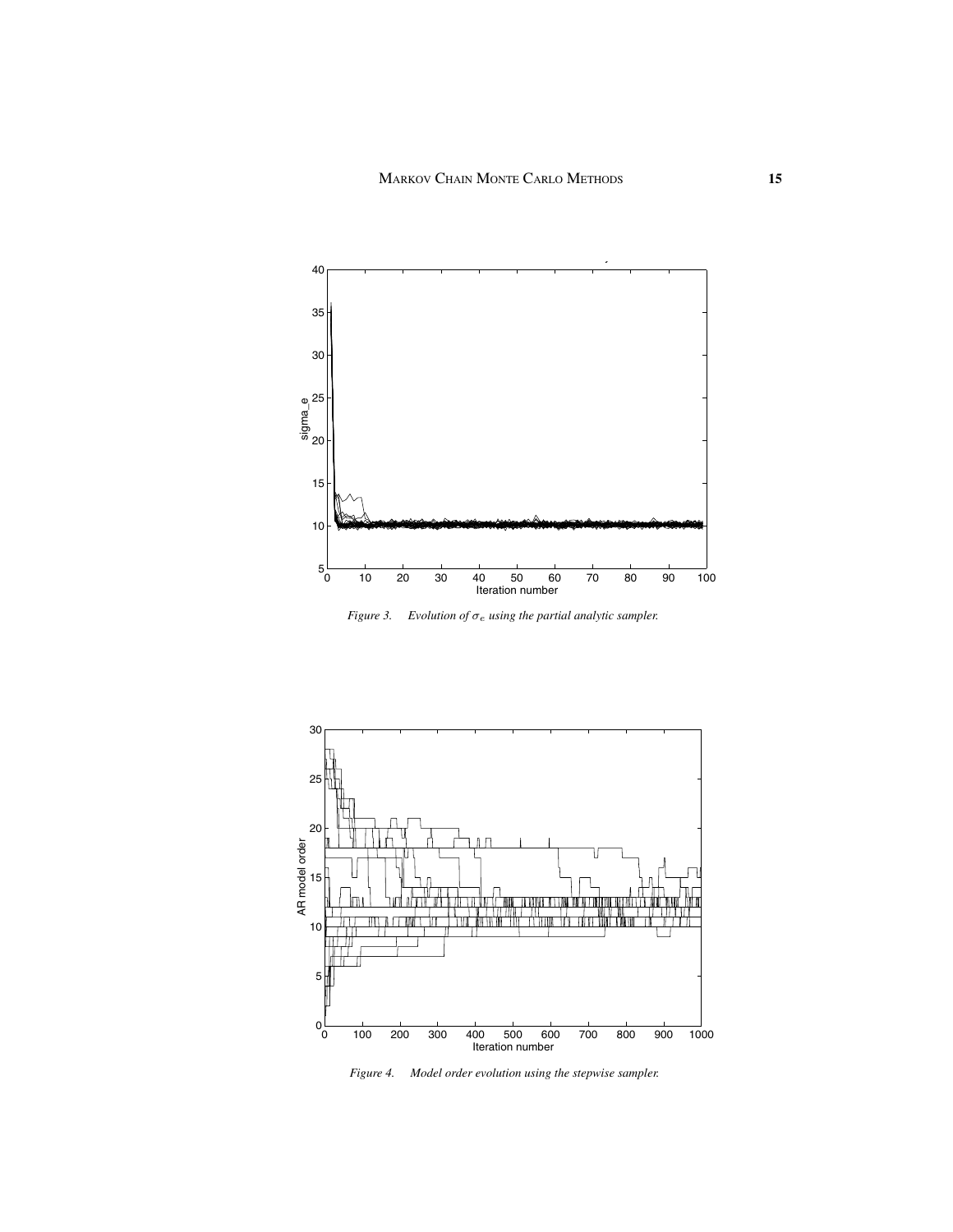

*Figure 3.* Evolution of  $\sigma_e$  using the partial analytic sampler.



*Figure 4. Model order evolution using the stepwise sampler.*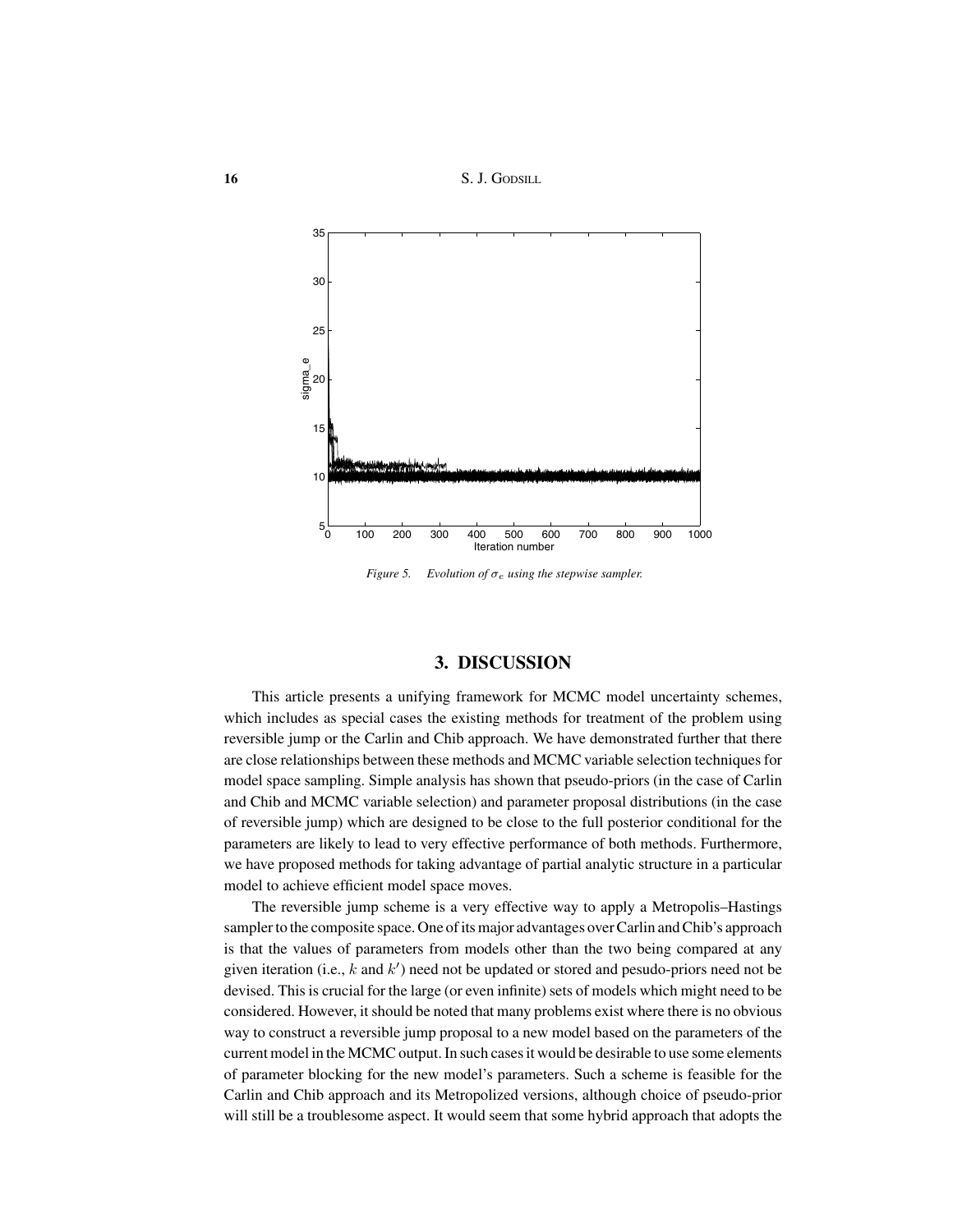**16** S. J. GODSILL



*Figure 5. Evolution of* σ<sup>e</sup> *using the stepwise sampler.*

# **3. DISCUSSION**

This article presents a unifying framework for MCMC model uncertainty schemes, which includes as special cases the existing methods for treatment of the problem using reversible jump or the Carlin and Chib approach. We have demonstrated further that there are close relationships between these methods and MCMC variable selection techniques for model space sampling. Simple analysis has shown that pseudo-priors (in the case of Carlin and Chib and MCMC variable selection) and parameter proposal distributions (in the case of reversible jump) which are designed to be close to the full posterior conditional for the parameters are likely to lead to very effective performance of both methods. Furthermore, we have proposed methods for taking advantage of partial analytic structure in a particular model to achieve efficient model space moves.

The reversible jump scheme is a very effective way to apply a Metropolis–Hastings sampler to the composite space. One of its major advantages over Carlin and Chib's approach is that the values of parameters from models other than the two being compared at any given iteration (i.e.,  $k$  and  $k'$ ) need not be updated or stored and pesudo-priors need not be devised. This is crucial for the large (or even infinite) sets of models which might need to be considered. However, it should be noted that many problems exist where there is no obvious way to construct a reversible jump proposal to a new model based on the parameters of the current model in the MCMC output. In such cases it would be desirable to use some elements of parameter blocking for the new model's parameters. Such a scheme is feasible for the Carlin and Chib approach and its Metropolized versions, although choice of pseudo-prior will still be a troublesome aspect. It would seem that some hybrid approach that adopts the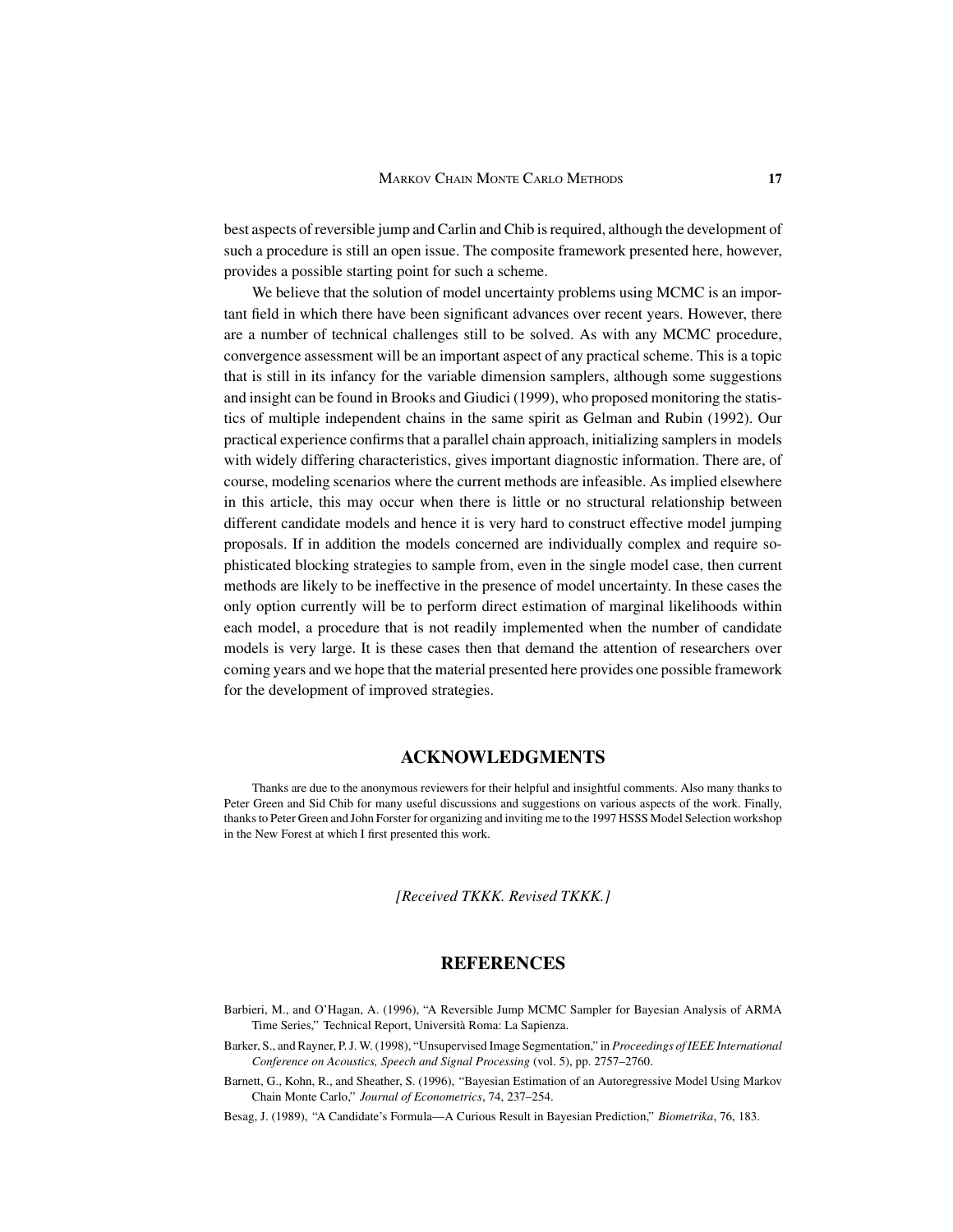best aspects of reversible jump and Carlin and Chib is required, although the development of such a procedure is still an open issue. The composite framework presented here, however, provides a possible starting point for such a scheme.

We believe that the solution of model uncertainty problems using MCMC is an important field in which there have been significant advances over recent years. However, there are a number of technical challenges still to be solved. As with any MCMC procedure, convergence assessment will be an important aspect of any practical scheme. This is a topic that is still in its infancy for the variable dimension samplers, although some suggestions and insight can be found in Brooks and Giudici (1999), who proposed monitoring the statistics of multiple independent chains in the same spirit as Gelman and Rubin (1992). Our practical experience confirms that a parallel chain approach, initializing samplers in models with widely differing characteristics, gives important diagnostic information. There are, of course, modeling scenarios where the current methods are infeasible. As implied elsewhere in this article, this may occur when there is little or no structural relationship between different candidate models and hence it is very hard to construct effective model jumping proposals. If in addition the models concerned are individually complex and require sophisticated blocking strategies to sample from, even in the single model case, then current methods are likely to be ineffective in the presence of model uncertainty. In these cases the only option currently will be to perform direct estimation of marginal likelihoods within each model, a procedure that is not readily implemented when the number of candidate models is very large. It is these cases then that demand the attention of researchers over coming years and we hope that the material presented here provides one possible framework for the development of improved strategies.

## **ACKNOWLEDGMENTS**

Thanks are due to the anonymous reviewers for their helpful and insightful comments. Also many thanks to Peter Green and Sid Chib for many useful discussions and suggestions on various aspects of the work. Finally, thanks to Peter Green and John Forster for organizing and inviting me to the 1997 HSSS Model Selection workshop in the New Forest at which I first presented this work.

*[Received TKKK. Revised TKKK.]*

# **REFERENCES**

- Barbieri, M., and O'Hagan, A. (1996), "A Reversible Jump MCMC Sampler for Bayesian Analysis of ARMA Time Series," Technical Report, Universita Roma: La Sapienza. `
- Barker, S., and Rayner, P. J. W. (1998), "Unsupervised Image Segmentation," in *Proceedings of IEEE International Conference on Acoustics, Speech and Signal Processing* (vol. 5), pp. 2757–2760.
- Barnett, G., Kohn, R., and Sheather, S. (1996), "Bayesian Estimation of an Autoregressive Model Using Markov Chain Monte Carlo," *Journal of Econometrics*, 74, 237–254.

Besag, J. (1989), "A Candidate's Formula—A Curious Result in Bayesian Prediction," *Biometrika*, 76, 183.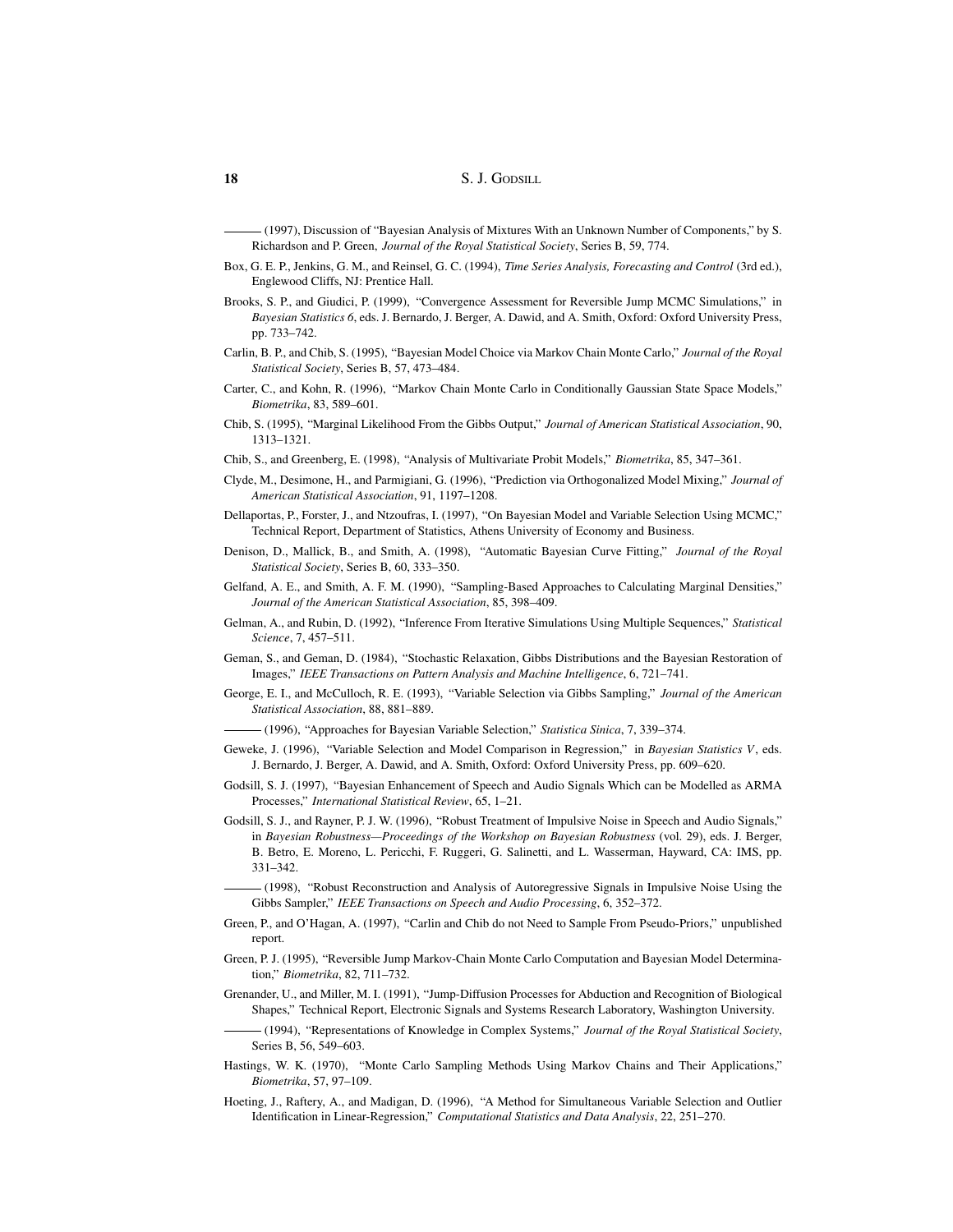- Box, G. E. P., Jenkins, G. M., and Reinsel, G. C. (1994), *Time Series Analysis, Forecasting and Control* (3rd ed.), Englewood Cliffs, NJ: Prentice Hall.
- Brooks, S. P., and Giudici, P. (1999), "Convergence Assessment for Reversible Jump MCMC Simulations," in *Bayesian Statistics 6*, eds. J. Bernardo, J. Berger, A. Dawid, and A. Smith, Oxford: Oxford University Press, pp. 733–742.
- Carlin, B. P., and Chib, S. (1995), "Bayesian Model Choice via Markov Chain Monte Carlo," *Journal of the Royal Statistical Society*, Series B, 57, 473–484.
- Carter, C., and Kohn, R. (1996), "Markov Chain Monte Carlo in Conditionally Gaussian State Space Models," *Biometrika*, 83, 589–601.
- Chib, S. (1995), "Marginal Likelihood From the Gibbs Output," *Journal of American Statistical Association*, 90, 1313–1321.
- Chib, S., and Greenberg, E. (1998), "Analysis of Multivariate Probit Models," *Biometrika*, 85, 347–361.
- Clyde, M., Desimone, H., and Parmigiani, G. (1996), "Prediction via Orthogonalized Model Mixing," *Journal of American Statistical Association*, 91, 1197–1208.
- Dellaportas, P., Forster, J., and Ntzoufras, I. (1997), "On Bayesian Model and Variable Selection Using MCMC," Technical Report, Department of Statistics, Athens University of Economy and Business.
- Denison, D., Mallick, B., and Smith, A. (1998), "Automatic Bayesian Curve Fitting," *Journal of the Royal Statistical Society*, Series B, 60, 333–350.
- Gelfand, A. E., and Smith, A. F. M. (1990), "Sampling-Based Approaches to Calculating Marginal Densities," *Journal of the American Statistical Association*, 85, 398–409.
- Gelman, A., and Rubin, D. (1992), "Inference From Iterative Simulations Using Multiple Sequences," *Statistical Science*, 7, 457–511.
- Geman, S., and Geman, D. (1984), "Stochastic Relaxation, Gibbs Distributions and the Bayesian Restoration of Images," *IEEE Transactions on Pattern Analysis and Machine Intelligence*, 6, 721–741.
- George, E. I., and McCulloch, R. E. (1993), "Variable Selection via Gibbs Sampling," *Journal of the American Statistical Association*, 88, 881–889.
	- (1996), "Approaches for Bayesian Variable Selection," *Statistica Sinica*, 7, 339–374.
- Geweke, J. (1996), "Variable Selection and Model Comparison in Regression," in *Bayesian Statistics V*, eds. J. Bernardo, J. Berger, A. Dawid, and A. Smith, Oxford: Oxford University Press, pp. 609–620.
- Godsill, S. J. (1997), "Bayesian Enhancement of Speech and Audio Signals Which can be Modelled as ARMA Processes," *International Statistical Review*, 65, 1–21.
- Godsill, S. J., and Rayner, P. J. W. (1996), "Robust Treatment of Impulsive Noise in Speech and Audio Signals," in *Bayesian Robustness—Proceedings of the Workshop on Bayesian Robustness* (vol. 29), eds. J. Berger, B. Betro, E. Moreno, L. Pericchi, F. Ruggeri, G. Salinetti, and L. Wasserman, Hayward, CA: IMS, pp. 331–342.
- (1998), "Robust Reconstruction and Analysis of Autoregressive Signals in Impulsive Noise Using the Gibbs Sampler," *IEEE Transactions on Speech and Audio Processing*, 6, 352–372.
- Green, P., and O'Hagan, A. (1997), "Carlin and Chib do not Need to Sample From Pseudo-Priors," unpublished report.
- Green, P. J. (1995), "Reversible Jump Markov-Chain Monte Carlo Computation and Bayesian Model Determination," *Biometrika*, 82, 711–732.
- Grenander, U., and Miller, M. I. (1991), "Jump-Diffusion Processes for Abduction and Recognition of Biological Shapes," Technical Report, Electronic Signals and Systems Research Laboratory, Washington University.
- (1994), "Representations of Knowledge in Complex Systems," *Journal of the Royal Statistical Society*, Series B, 56, 549–603.
- Hastings, W. K. (1970), "Monte Carlo Sampling Methods Using Markov Chains and Their Applications," *Biometrika*, 57, 97–109.
- Hoeting, J., Raftery, A., and Madigan, D. (1996), "A Method for Simultaneous Variable Selection and Outlier Identification in Linear-Regression," *Computational Statistics and Data Analysis*, 22, 251–270.

<sup>(1997),</sup> Discussion of "Bayesian Analysis of Mixtures With an Unknown Number of Components," by S. Richardson and P. Green, *Journal of the Royal Statistical Society*, Series B, 59, 774.